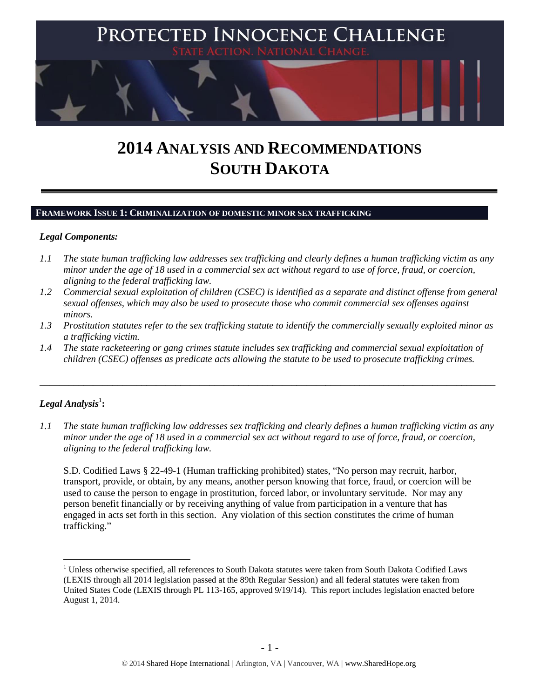

# **2014 ANALYSIS AND RECOMMENDATIONS SOUTH DAKOTA**

#### **FRAMEWORK ISSUE 1: CRIMINALIZATION OF DOMESTIC MINOR SEX TRAFFICKING**

#### *Legal Components:*

- *1.1 The state human trafficking law addresses sex trafficking and clearly defines a human trafficking victim as any minor under the age of 18 used in a commercial sex act without regard to use of force, fraud, or coercion, aligning to the federal trafficking law.*
- *1.2 Commercial sexual exploitation of children (CSEC) is identified as a separate and distinct offense from general sexual offenses, which may also be used to prosecute those who commit commercial sex offenses against minors.*
- *1.3 Prostitution statutes refer to the sex trafficking statute to identify the commercially sexually exploited minor as a trafficking victim.*

\_\_\_\_\_\_\_\_\_\_\_\_\_\_\_\_\_\_\_\_\_\_\_\_\_\_\_\_\_\_\_\_\_\_\_\_\_\_\_\_\_\_\_\_\_\_\_\_\_\_\_\_\_\_\_\_\_\_\_\_\_\_\_\_\_\_\_\_\_\_\_\_\_\_\_\_\_\_\_\_\_\_\_\_\_\_\_\_\_\_\_\_\_\_

*1.4 The state racketeering or gang crimes statute includes sex trafficking and commercial sexual exploitation of children (CSEC) offenses as predicate acts allowing the statute to be used to prosecute trafficking crimes.* 

## $\boldsymbol{Legal}$  Analysis $^1$ :

 $\overline{a}$ 

*1.1 The state human trafficking law addresses sex trafficking and clearly defines a human trafficking victim as any minor under the age of 18 used in a commercial sex act without regard to use of force, fraud, or coercion, aligning to the federal trafficking law.*

S.D. Codified Laws § 22-49-1 (Human trafficking prohibited) states, "No person may recruit, harbor, transport, provide, or obtain, by any means, another person knowing that force, fraud, or coercion will be used to cause the person to engage in prostitution, forced labor, or involuntary servitude. Nor may any person benefit financially or by receiving anything of value from participation in a venture that has engaged in acts set forth in this section. Any violation of this section constitutes the crime of human trafficking."

 $<sup>1</sup>$  Unless otherwise specified, all references to South Dakota statutes were taken from South Dakota Codified Laws</sup> (LEXIS through all 2014 legislation passed at the 89th Regular Session) and all federal statutes were taken from United States Code (LEXIS through PL 113-165, approved 9/19/14). This report includes legislation enacted before August 1, 2014.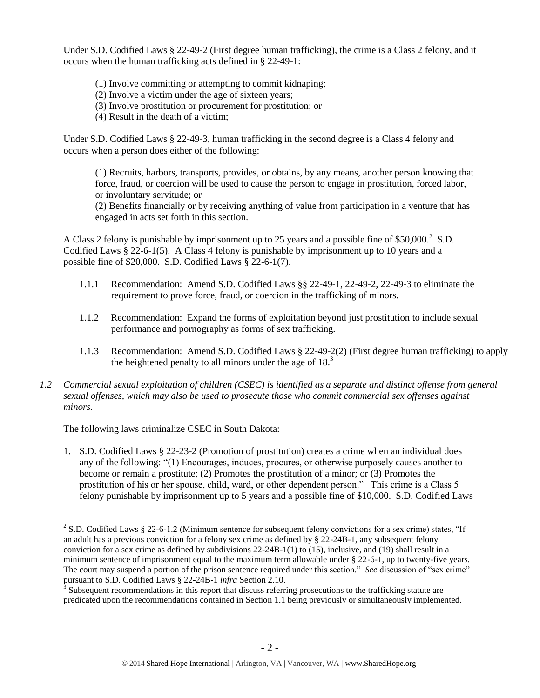Under S.D. Codified Laws § 22-49-2 (First degree human trafficking), the crime is a Class 2 felony, and it occurs when the human trafficking acts defined in § 22-49-1:

- (1) Involve committing or attempting to commit kidnaping;
- (2) Involve a victim under the age of sixteen years;
- (3) Involve prostitution or procurement for prostitution; or
- (4) Result in the death of a victim;

Under S.D. Codified Laws § 22-49-3, human trafficking in the second degree is a Class 4 felony and occurs when a person does either of the following:

(1) Recruits, harbors, transports, provides, or obtains, by any means, another person knowing that force, fraud, or coercion will be used to cause the person to engage in prostitution, forced labor, or involuntary servitude; or

(2) Benefits financially or by receiving anything of value from participation in a venture that has engaged in acts set forth in this section.

A Class 2 felony is punishable by imprisonment up to 25 years and a possible fine of \$50,000.<sup>2</sup> S.D. Codified Laws  $\S$  22-6-1(5). A Class 4 felony is punishable by imprisonment up to 10 years and a possible fine of \$20,000. S.D. Codified Laws § 22-6-1(7).

- 1.1.1 Recommendation: Amend S.D. Codified Laws §§ 22-49-1, 22-49-2, 22-49-3 to eliminate the requirement to prove force, fraud, or coercion in the trafficking of minors.
- 1.1.2 Recommendation: Expand the forms of exploitation beyond just prostitution to include sexual performance and pornography as forms of sex trafficking.
- 1.1.3 Recommendation: Amend S.D. Codified Laws § 22-49-2(2) (First degree human trafficking) to apply the heightened penalty to all minors under the age of  $18<sup>3</sup>$
- *1.2 Commercial sexual exploitation of children (CSEC) is identified as a separate and distinct offense from general sexual offenses, which may also be used to prosecute those who commit commercial sex offenses against minors.*

The following laws criminalize CSEC in South Dakota:

 $\overline{a}$ 

1. S.D. Codified Laws § 22-23-2 (Promotion of prostitution) creates a crime when an individual does any of the following: "(1) Encourages, induces, procures, or otherwise purposely causes another to become or remain a prostitute; (2) Promotes the prostitution of a minor; or (3) Promotes the prostitution of his or her spouse, child, ward, or other dependent person." This crime is a Class 5 felony punishable by imprisonment up to 5 years and a possible fine of \$10,000. S.D. Codified Laws

<sup>&</sup>lt;sup>2</sup> S.D. Codified Laws § 22-6-1.2 (Minimum sentence for subsequent felony convictions for a sex crime) states, "If an adult has a previous conviction for a felony sex crime as defined by § 22-24B-1, any subsequent felony conviction for a sex crime as defined by subdivisions 22-24B-1(1) to (15), inclusive, and (19) shall result in a minimum sentence of imprisonment equal to the maximum term allowable under § 22-6-1, up to twenty-five years. The court may suspend a portion of the prison sentence required under this section." *See* discussion of "sex crime" pursuant to S.D. Codified Laws § 22-24B-1 *infra* Section 2.10.

 $3$  Subsequent recommendations in this report that discuss referring prosecutions to the trafficking statute are predicated upon the recommendations contained in Section 1.1 being previously or simultaneously implemented.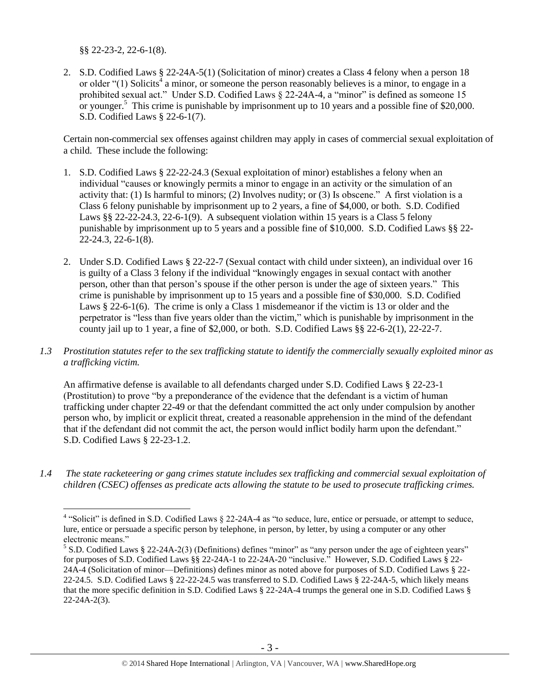§§ 22-23-2, 22-6-1(8).

 $\overline{a}$ 

<span id="page-2-0"></span>2. S.D. Codified Laws § 22-24A-5(1) (Solicitation of minor) creates a Class 4 felony when a person 18 or older " $(1)$  Solicits<sup>4</sup> a minor, or someone the person reasonably believes is a minor, to engage in a prohibited sexual act." Under S.D. Codified Laws § 22-24A-4, a "minor" is defined as someone 15 or younger.<sup>5</sup> This crime is punishable by imprisonment up to 10 years and a possible fine of \$20,000. S.D. Codified Laws § 22-6-1(7).

Certain non-commercial sex offenses against children may apply in cases of commercial sexual exploitation of a child. These include the following:

- 1. S.D. Codified Laws § 22-22-24.3 (Sexual exploitation of minor) establishes a felony when an individual "causes or knowingly permits a minor to engage in an activity or the simulation of an activity that: (1) Is harmful to minors; (2) Involves nudity; or (3) Is obscene." A first violation is a Class 6 felony punishable by imprisonment up to 2 years, a fine of \$4,000, or both. S.D. Codified Laws §§ 22-22-24.3, 22-6-1(9). A subsequent violation within 15 years is a Class 5 felony punishable by imprisonment up to 5 years and a possible fine of \$10,000. S.D. Codified Laws §§ 22- 22-24.3, 22-6-1(8).
- 2. Under S.D. Codified Laws § 22-22-7 (Sexual contact with child under sixteen), an individual over 16 is guilty of a Class 3 felony if the individual "knowingly engages in sexual contact with another person, other than that person's spouse if the other person is under the age of sixteen years." This crime is punishable by imprisonment up to 15 years and a possible fine of \$30,000. S.D. Codified Laws § 22-6-1(6). The crime is only a Class 1 misdemeanor if the victim is 13 or older and the perpetrator is "less than five years older than the victim," which is punishable by imprisonment in the county jail up to 1 year, a fine of \$2,000, or both. S.D. Codified Laws  $\S$  22-6-2(1), 22-22-7.
- *1.3 Prostitution statutes refer to the sex trafficking statute to identify the commercially sexually exploited minor as a trafficking victim.*

An affirmative defense is available to all defendants charged under S.D. Codified Laws § 22-23-1 (Prostitution) to prove "by a preponderance of the evidence that the defendant is a victim of human trafficking under chapter 22-49 or that the defendant committed the act only under compulsion by another person who, by implicit or explicit threat, created a reasonable apprehension in the mind of the defendant that if the defendant did not commit the act, the person would inflict bodily harm upon the defendant." S.D. Codified Laws § 22-23-1.2.

*1.4 The state racketeering or gang crimes statute includes sex trafficking and commercial sexual exploitation of children (CSEC) offenses as predicate acts allowing the statute to be used to prosecute trafficking crimes.* 

<sup>&</sup>lt;sup>4</sup> "Solicit" is defined in S.D. Codified Laws § 22-24A-4 as "to seduce, lure, entice or persuade, or attempt to seduce, lure, entice or persuade a specific person by telephone, in person, by letter, by using a computer or any other electronic means."

<sup>&</sup>lt;sup>5</sup> S.D. Codified Laws § 22-24A-2(3) (Definitions) defines "minor" as "any person under the age of eighteen years" for purposes of S.D. Codified Laws §§ 22-24A-1 to 22-24A-20 "inclusive." However, S.D. Codified Laws § 22- 24A-4 (Solicitation of minor—Definitions) defines minor as noted above for purposes of S.D. Codified Laws § 22- 22-24.5. S.D. Codified Laws § 22-22-24.5 was transferred to S.D. Codified Laws § 22-24A-5, which likely means that the more specific definition in S.D. Codified Laws § 22-24A-4 trumps the general one in S.D. Codified Laws § 22-24A-2(3).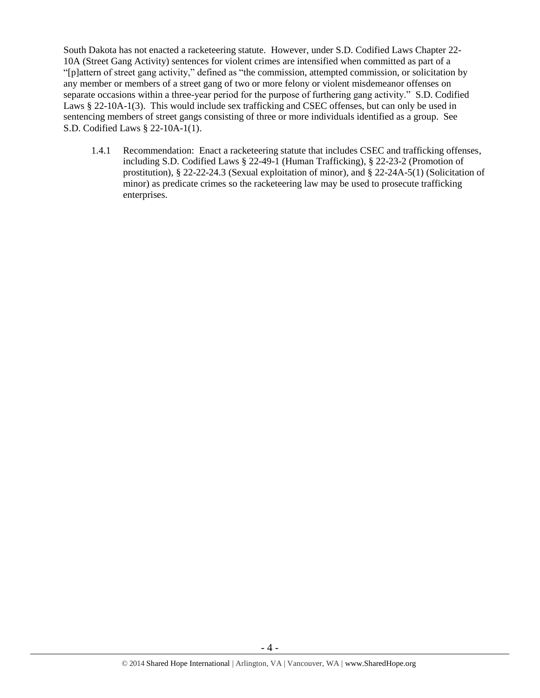South Dakota has not enacted a racketeering statute. However, under S.D. Codified Laws Chapter 22- 10A (Street Gang Activity) sentences for violent crimes are intensified when committed as part of a "[p]attern of street gang activity," defined as "the commission, attempted commission, or solicitation by any member or members of a street gang of two or more felony or violent misdemeanor offenses on separate occasions within a three-year period for the purpose of furthering gang activity." S.D. Codified Laws § 22-10A-1(3). This would include sex trafficking and CSEC offenses, but can only be used in sentencing members of street gangs consisting of three or more individuals identified as a group. See S.D. Codified Laws § 22-10A-1(1).

1.4.1 Recommendation: Enact a racketeering statute that includes CSEC and trafficking offenses, including S.D. Codified Laws § 22-49-1 (Human Trafficking), § 22-23-2 (Promotion of prostitution), § 22-22-24.3 (Sexual exploitation of minor), and § 22-24A-5(1) (Solicitation of minor) as predicate crimes so the racketeering law may be used to prosecute trafficking enterprises.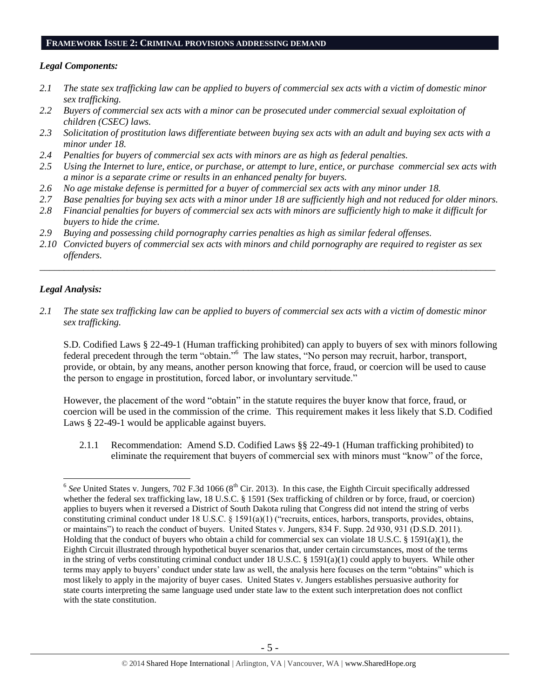#### **FRAMEWORK ISSUE 2: CRIMINAL PROVISIONS ADDRESSING DEMAND**

#### *Legal Components:*

- *2.1 The state sex trafficking law can be applied to buyers of commercial sex acts with a victim of domestic minor sex trafficking.*
- *2.2 Buyers of commercial sex acts with a minor can be prosecuted under commercial sexual exploitation of children (CSEC) laws.*
- *2.3 Solicitation of prostitution laws differentiate between buying sex acts with an adult and buying sex acts with a minor under 18.*
- *2.4 Penalties for buyers of commercial sex acts with minors are as high as federal penalties.*
- *2.5 Using the Internet to lure, entice, or purchase, or attempt to lure, entice, or purchase commercial sex acts with a minor is a separate crime or results in an enhanced penalty for buyers.*
- *2.6 No age mistake defense is permitted for a buyer of commercial sex acts with any minor under 18.*
- *2.7 Base penalties for buying sex acts with a minor under 18 are sufficiently high and not reduced for older minors. 2.8 Financial penalties for buyers of commercial sex acts with minors are sufficiently high to make it difficult for*
- *buyers to hide the crime.*
- *2.9 Buying and possessing child pornography carries penalties as high as similar federal offenses.*
- *2.10 Convicted buyers of commercial sex acts with minors and child pornography are required to register as sex offenders.*

\_\_\_\_\_\_\_\_\_\_\_\_\_\_\_\_\_\_\_\_\_\_\_\_\_\_\_\_\_\_\_\_\_\_\_\_\_\_\_\_\_\_\_\_\_\_\_\_\_\_\_\_\_\_\_\_\_\_\_\_\_\_\_\_\_\_\_\_\_\_\_\_\_\_\_\_\_\_\_\_\_\_\_\_\_\_\_\_\_\_\_\_\_\_

#### *Legal Analysis:*

 $\overline{a}$ 

*2.1 The state sex trafficking law can be applied to buyers of commercial sex acts with a victim of domestic minor sex trafficking.* 

S.D. Codified Laws § 22-49-1 (Human trafficking prohibited) can apply to buyers of sex with minors following federal precedent through the term "obtain."<sup>6</sup> The law states, "No person may recruit, harbor, transport, provide, or obtain, by any means, another person knowing that force, fraud, or coercion will be used to cause the person to engage in prostitution, forced labor, or involuntary servitude."

However, the placement of the word "obtain" in the statute requires the buyer know that force, fraud, or coercion will be used in the commission of the crime. This requirement makes it less likely that S.D. Codified Laws § 22-49-1 would be applicable against buyers.

2.1.1 Recommendation: Amend S.D. Codified Laws §§ 22-49-1 (Human trafficking prohibited) to eliminate the requirement that buyers of commercial sex with minors must "know" of the force,

 $6$  See United States v. Jungers, 702 F.3d 1066 ( $8<sup>th</sup>$  Cir. 2013). In this case, the Eighth Circuit specifically addressed whether the federal sex trafficking law, 18 U.S.C. § 1591 (Sex trafficking of children or by force, fraud, or coercion) applies to buyers when it reversed a District of South Dakota ruling that Congress did not intend the string of verbs constituting criminal conduct under 18 U.S.C. § 1591(a)(1) ("recruits, entices, harbors, transports, provides, obtains, or maintains") to reach the conduct of buyers. United States v. Jungers, 834 F. Supp. 2d 930, 931 (D.S.D. 2011). Holding that the conduct of buyers who obtain a child for commercial sex can violate 18 U.S.C. § 1591(a)(1), the Eighth Circuit illustrated through hypothetical buyer scenarios that, under certain circumstances, most of the terms in the string of verbs constituting criminal conduct under 18 U.S.C. § 1591(a)(1) could apply to buyers. While other terms may apply to buyers' conduct under state law as well, the analysis here focuses on the term "obtains" which is most likely to apply in the majority of buyer cases. United States v. Jungers establishes persuasive authority for state courts interpreting the same language used under state law to the extent such interpretation does not conflict with the state constitution.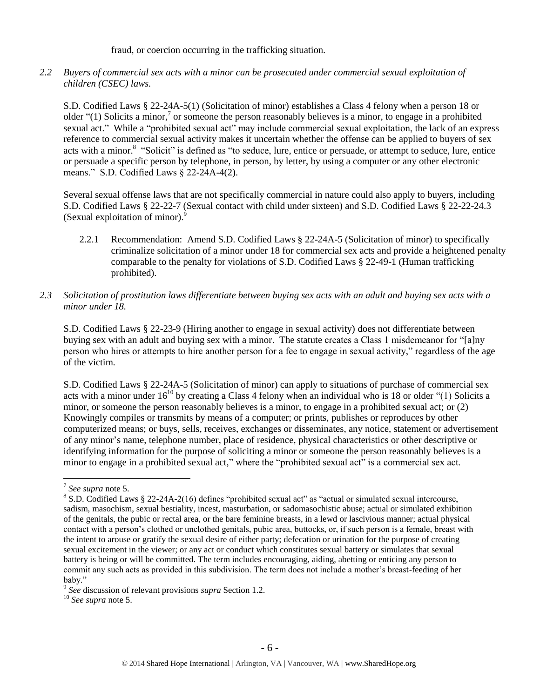fraud, or coercion occurring in the trafficking situation.

*2.2 Buyers of commercial sex acts with a minor can be prosecuted under commercial sexual exploitation of children (CSEC) laws.*

S.D. Codified Laws § 22-24A-5(1) (Solicitation of minor) establishes a Class 4 felony when a person 18 or older " $(1)$  Solicits a minor,<sup>7</sup> or someone the person reasonably believes is a minor, to engage in a prohibited sexual act." While a "prohibited sexual act" may include commercial sexual exploitation, the lack of an express reference to commercial sexual activity makes it uncertain whether the offense can be applied to buyers of sex acts with a minor.<sup>8</sup> "Solicit" is defined as "to seduce, lure, entice or persuade, or attempt to seduce, lure, entice or persuade a specific person by telephone, in person, by letter, by using a computer or any other electronic means." S.D. Codified Laws § 22-24A-4(2).

Several sexual offense laws that are not specifically commercial in nature could also apply to buyers, including S.D. Codified Laws § 22-22-7 (Sexual contact with child under sixteen) and S.D. Codified Laws § 22-22-24.3 (Sexual exploitation of minor).<sup>9</sup>

- 2.2.1 Recommendation: Amend S.D. Codified Laws § 22-24A-5 (Solicitation of minor) to specifically criminalize solicitation of a minor under 18 for commercial sex acts and provide a heightened penalty comparable to the penalty for violations of S.D. Codified Laws § 22-49-1 (Human trafficking prohibited).
- *2.3 Solicitation of prostitution laws differentiate between buying sex acts with an adult and buying sex acts with a minor under 18.*

S.D. Codified Laws § 22-23-9 (Hiring another to engage in sexual activity) does not differentiate between buying sex with an adult and buying sex with a minor. The statute creates a Class 1 misdemeanor for "[a]ny person who hires or attempts to hire another person for a fee to engage in sexual activity," regardless of the age of the victim.

S.D. Codified Laws § 22-24A-5 (Solicitation of minor) can apply to situations of purchase of commercial sex acts with a minor under  $16^{10}$  by creating a Class 4 felony when an individual who is 18 or older "(1) Solicits a minor, or someone the person reasonably believes is a minor, to engage in a prohibited sexual act; or (2) Knowingly compiles or transmits by means of a computer; or prints, publishes or reproduces by other computerized means; or buys, sells, receives, exchanges or disseminates, any notice, statement or advertisement of any minor's name, telephone number, place of residence, physical characteristics or other descriptive or identifying information for the purpose of soliciting a minor or someone the person reasonably believes is a minor to engage in a prohibited sexual act," where the "prohibited sexual act" is a commercial sex act.

<sup>7</sup> *See supra* note [5.](#page-2-0)

<sup>&</sup>lt;sup>8</sup> S.D. Codified Laws § 22-24A-2(16) defines "prohibited sexual act" as "actual or simulated sexual intercourse, sadism, masochism, sexual bestiality, incest, masturbation, or sadomasochistic abuse; actual or simulated exhibition of the genitals, the pubic or rectal area, or the bare feminine breasts, in a lewd or lascivious manner; actual physical contact with a person's clothed or unclothed genitals, pubic area, buttocks, or, if such person is a female, breast with the intent to arouse or gratify the sexual desire of either party; defecation or urination for the purpose of creating sexual excitement in the viewer; or any act or conduct which constitutes sexual battery or simulates that sexual battery is being or will be committed. The term includes encouraging, aiding, abetting or enticing any person to commit any such acts as provided in this subdivision. The term does not include a mother's breast-feeding of her baby."

<sup>9</sup> *See* discussion of relevant provisions *supra* Section 1.2.

<sup>10</sup> *See supra* note [5.](#page-2-0)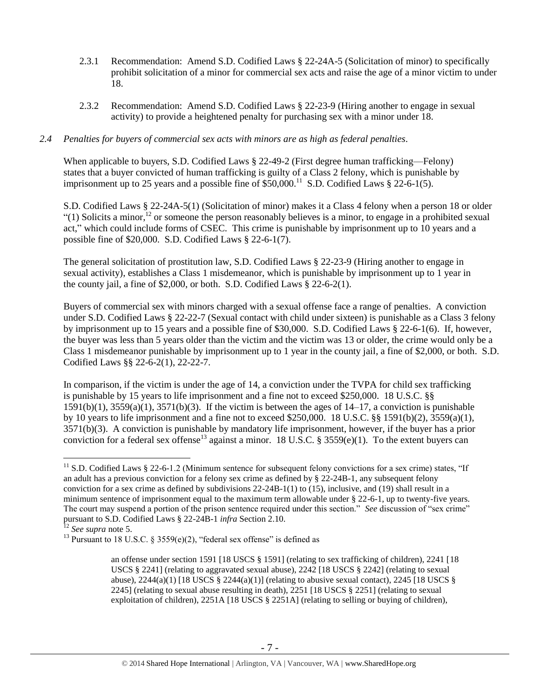- 2.3.1 Recommendation: Amend S.D. Codified Laws § 22-24A-5 (Solicitation of minor) to specifically prohibit solicitation of a minor for commercial sex acts and raise the age of a minor victim to under 18.
- 2.3.2 Recommendation: Amend S.D. Codified Laws § 22-23-9 (Hiring another to engage in sexual activity) to provide a heightened penalty for purchasing sex with a minor under 18.

#### *2.4 Penalties for buyers of commercial sex acts with minors are as high as federal penalties.*

When applicable to buyers, S.D. Codified Laws § 22-49-2 (First degree human trafficking—Felony) states that a buyer convicted of human trafficking is guilty of a Class 2 felony, which is punishable by imprisonment up to 25 years and a possible fine of  $$50,000$ .<sup>11</sup> S.D. Codified Laws  $$22-6-1(5)$ .

S.D. Codified Laws § 22-24A-5(1) (Solicitation of minor) makes it a Class 4 felony when a person 18 or older "(1) Solicits a minor,<sup>12</sup> or someone the person reasonably believes is a minor, to engage in a prohibited sexual act," which could include forms of CSEC. This crime is punishable by imprisonment up to 10 years and a possible fine of \$20,000. S.D. Codified Laws § 22-6-1(7).

The general solicitation of prostitution law, S.D. Codified Laws § 22-23-9 (Hiring another to engage in sexual activity), establishes a Class 1 misdemeanor, which is punishable by imprisonment up to 1 year in the county jail, a fine of \$2,000, or both. S.D. Codified Laws § 22-6-2(1).

Buyers of commercial sex with minors charged with a sexual offense face a range of penalties. A conviction under S.D. Codified Laws § 22-22-7 (Sexual contact with child under sixteen) is punishable as a Class 3 felony by imprisonment up to 15 years and a possible fine of \$30,000. S.D. Codified Laws § 22-6-1(6). If, however, the buyer was less than 5 years older than the victim and the victim was 13 or older, the crime would only be a Class 1 misdemeanor punishable by imprisonment up to 1 year in the county jail, a fine of \$2,000, or both. S.D. Codified Laws §§ 22-6-2(1), 22-22-7.

In comparison, if the victim is under the age of 14, a conviction under the TVPA for child sex trafficking is punishable by 15 years to life imprisonment and a fine not to exceed \$250,000. 18 U.S.C. §§  $1591(b)(1)$ ,  $3559(a)(1)$ ,  $3571(b)(3)$ . If the victim is between the ages of  $14-17$ , a conviction is punishable by 10 years to life imprisonment and a fine not to exceed \$250,000. 18 U.S.C. §§ 1591(b)(2), 3559(a)(1), 3571(b)(3). A conviction is punishable by mandatory life imprisonment, however, if the buyer has a prior conviction for a federal sex offense<sup>13</sup> against a minor. 18 U.S.C. § 3559(e)(1). To the extent buyers can

<span id="page-6-0"></span> $11$  S.D. Codified Laws § 22-6-1.2 (Minimum sentence for subsequent felony convictions for a sex crime) states, "If an adult has a previous conviction for a felony sex crime as defined by § 22-24B-1, any subsequent felony conviction for a sex crime as defined by subdivisions 22-24B-1(1) to (15), inclusive, and (19) shall result in a minimum sentence of imprisonment equal to the maximum term allowable under § 22-6-1, up to twenty-five years. The court may suspend a portion of the prison sentence required under this section." *See* discussion of "sex crime" pursuant to S.D. Codified Laws § 22-24B-1 *infra* Section 2.10.

<sup>12</sup> *See supra* note [5.](#page-2-0)

<sup>&</sup>lt;sup>13</sup> Pursuant to 18 U.S.C. § 3559(e)(2), "federal sex offense" is defined as

an offense under section 1591 [18 USCS § 1591] (relating to sex trafficking of children), 2241 [18 USCS § 2241] (relating to aggravated sexual abuse), 2242 [18 USCS § 2242] (relating to sexual abuse),  $2244(a)(1)$  [18 USCS §  $2244(a)(1)$ ] (relating to abusive sexual contact),  $2245$  [18 USCS § 2245] (relating to sexual abuse resulting in death), 2251 [18 USCS § 2251] (relating to sexual exploitation of children), 2251A [18 USCS § 2251A] (relating to selling or buying of children),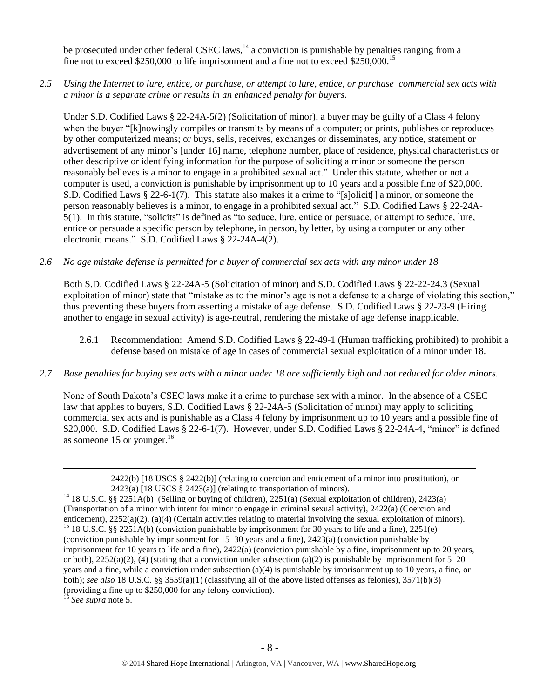be prosecuted under other federal CSEC laws,  $14$  a conviction is punishable by penalties ranging from a fine not to exceed \$250,000 to life imprisonment and a fine not to exceed \$250,000.<sup>15</sup>

*2.5 Using the Internet to lure, entice, or purchase, or attempt to lure, entice, or purchase commercial sex acts with a minor is a separate crime or results in an enhanced penalty for buyers.*

Under S.D. Codified Laws § 22-24A-5(2) (Solicitation of minor), a buyer may be guilty of a Class 4 felony when the buyer "[k]nowingly compiles or transmits by means of a computer; or prints, publishes or reproduces by other computerized means; or buys, sells, receives, exchanges or disseminates, any notice, statement or advertisement of any minor's [under 16] name, telephone number, place of residence, physical characteristics or other descriptive or identifying information for the purpose of soliciting a minor or someone the person reasonably believes is a minor to engage in a prohibited sexual act." Under this statute, whether or not a computer is used, a conviction is punishable by imprisonment up to 10 years and a possible fine of \$20,000. S.D. Codified Laws § 22-6-1(7). This statute also makes it a crime to "[s]olicit[] a minor, or someone the person reasonably believes is a minor, to engage in a prohibited sexual act." S.D. Codified Laws § 22-24A-5(1). In this statute, "solicits" is defined as "to seduce, lure, entice or persuade, or attempt to seduce, lure, entice or persuade a specific person by telephone, in person, by letter, by using a computer or any other electronic means." S.D. Codified Laws § 22-24A-4(2).

#### *2.6 No age mistake defense is permitted for a buyer of commercial sex acts with any minor under 18*

Both S.D. Codified Laws § 22-24A-5 (Solicitation of minor) and S.D. Codified Laws § 22-22-24.3 (Sexual exploitation of minor) state that "mistake as to the minor's age is not a defense to a charge of violating this section," thus preventing these buyers from asserting a mistake of age defense. S.D. Codified Laws § 22-23-9 (Hiring another to engage in sexual activity) is age-neutral, rendering the mistake of age defense inapplicable.

- 2.6.1 Recommendation: Amend S.D. Codified Laws § 22-49-1 (Human trafficking prohibited) to prohibit a defense based on mistake of age in cases of commercial sexual exploitation of a minor under 18.
- *2.7 Base penalties for buying sex acts with a minor under 18 are sufficiently high and not reduced for older minors.*

None of South Dakota's CSEC laws make it a crime to purchase sex with a minor. In the absence of a CSEC law that applies to buyers, S.D. Codified Laws § 22-24A-5 (Solicitation of minor) may apply to soliciting commercial sex acts and is punishable as a Class 4 felony by imprisonment up to 10 years and a possible fine of \$20,000. S.D. Codified Laws § 22-6-1(7). However, under S.D. Codified Laws § 22-24A-4, "minor" is defined as someone 15 or younger. $^{16}$ 

<sup>16</sup> *See supra* note [5.](#page-2-0)

<sup>2422(</sup>b) [18 USCS § 2422(b)] (relating to coercion and enticement of a minor into prostitution), or 2423(a) [18 USCS § 2423(a)] (relating to transportation of minors).

<sup>&</sup>lt;sup>14</sup> 18 U.S.C. §§ 2251A(b) (Selling or buying of children), 2251(a) (Sexual exploitation of children), 2423(a) (Transportation of a minor with intent for minor to engage in criminal sexual activity), 2422(a) (Coercion and enticement), 2252(a)(2), (a)(4) (Certain activities relating to material involving the sexual exploitation of minors). <sup>15</sup> 18 U.S.C. §§ 2251A(b) (conviction punishable by imprisonment for 30 years to life and a fine), 2251(e) (conviction punishable by imprisonment for 15–30 years and a fine), 2423(a) (conviction punishable by imprisonment for 10 years to life and a fine), 2422(a) (conviction punishable by a fine, imprisonment up to 20 years, or both),  $2252(a)(2)$ , (4) (stating that a conviction under subsection (a)(2) is punishable by imprisonment for 5–20 years and a fine, while a conviction under subsection (a)(4) is punishable by imprisonment up to 10 years, a fine, or both); *see also* 18 U.S.C. §§ 3559(a)(1) (classifying all of the above listed offenses as felonies), 3571(b)(3) (providing a fine up to \$250,000 for any felony conviction).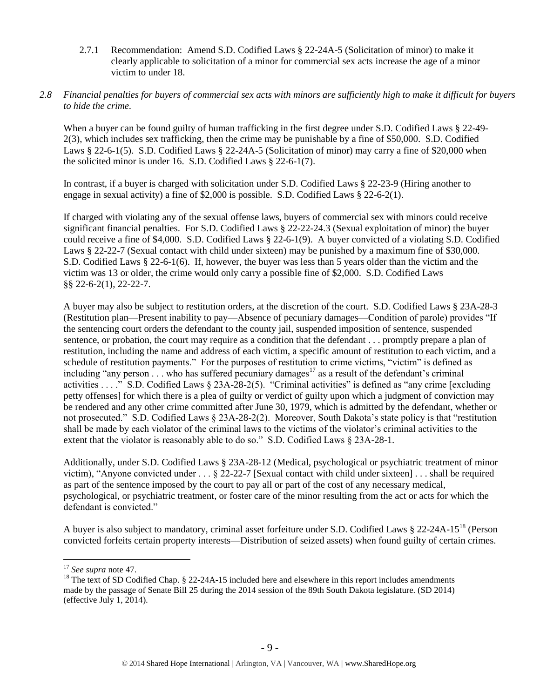2.7.1 Recommendation: Amend S.D. Codified Laws § 22-24A-5 (Solicitation of minor) to make it clearly applicable to solicitation of a minor for commercial sex acts increase the age of a minor victim to under 18.

#### *2.8 Financial penalties for buyers of commercial sex acts with minors are sufficiently high to make it difficult for buyers to hide the crime.*

When a buyer can be found guilty of human trafficking in the first degree under S.D. Codified Laws § 22-49-2(3), which includes sex trafficking, then the crime may be punishable by a fine of \$50,000. S.D. Codified Laws § 22-6-1(5). S.D. Codified Laws § 22-24A-5 (Solicitation of minor) may carry a fine of \$20,000 when the solicited minor is under 16. S.D. Codified Laws § 22-6-1(7).

In contrast, if a buyer is charged with solicitation under S.D. Codified Laws § 22-23-9 (Hiring another to engage in sexual activity) a fine of \$2,000 is possible. S.D. Codified Laws  $\S$  22-6-2(1).

If charged with violating any of the sexual offense laws, buyers of commercial sex with minors could receive significant financial penalties. For S.D. Codified Laws § 22-22-24.3 (Sexual exploitation of minor) the buyer could receive a fine of \$4,000. S.D. Codified Laws § 22-6-1(9). A buyer convicted of a violating S.D. Codified Laws § 22-22-7 (Sexual contact with child under sixteen) may be punished by a maximum fine of \$30,000. S.D. Codified Laws § 22-6-1(6). If, however, the buyer was less than 5 years older than the victim and the victim was 13 or older, the crime would only carry a possible fine of \$2,000. S.D. Codified Laws §§ 22-6-2(1), 22-22-7.

A buyer may also be subject to restitution orders, at the discretion of the court. S.D. Codified Laws § 23A-28-3 (Restitution plan—Present inability to pay—Absence of pecuniary damages—Condition of parole) provides "If the sentencing court orders the defendant to the county jail, suspended imposition of sentence, suspended sentence, or probation, the court may require as a condition that the defendant . . . promptly prepare a plan of restitution, including the name and address of each victim, a specific amount of restitution to each victim, and a schedule of restitution payments." For the purposes of restitution to crime victims, "victim" is defined as including "any person  $\ldots$  who has suffered pecuniary damages<sup>17</sup> as a result of the defendant's criminal activities . . . ." S.D. Codified Laws § 23A-28-2(5). "Criminal activities" is defined as "any crime [excluding petty offenses] for which there is a plea of guilty or verdict of guilty upon which a judgment of conviction may be rendered and any other crime committed after June 30, 1979, which is admitted by the defendant, whether or not prosecuted." S.D. Codified Laws § 23A-28-2(2). Moreover, South Dakota's state policy is that "restitution shall be made by each violator of the criminal laws to the victims of the violator's criminal activities to the extent that the violator is reasonably able to do so." S.D. Codified Laws § 23A-28-1.

Additionally, under S.D. Codified Laws § 23A-28-12 (Medical, psychological or psychiatric treatment of minor victim), "Anyone convicted under . . . § 22-22-7 [Sexual contact with child under sixteen] . . . shall be required as part of the sentence imposed by the court to pay all or part of the cost of any necessary medical, psychological, or psychiatric treatment, or foster care of the minor resulting from the act or acts for which the defendant is convicted."

<span id="page-8-0"></span>A buyer is also subject to mandatory, criminal asset forfeiture under S.D. Codified Laws § 22-24A-15<sup>18</sup> (Person convicted forfeits certain property interests—Distribution of seized assets) when found guilty of certain crimes.

<sup>17</sup> *See supra* note [47.](#page-24-0)

<sup>&</sup>lt;sup>18</sup> The text of SD Codified Chap.  $\S$  22-24A-15 included here and elsewhere in this report includes amendments made by the passage of Senate Bill 25 during the 2014 session of the 89th South Dakota legislature. (SD 2014) (effective July 1, 2014).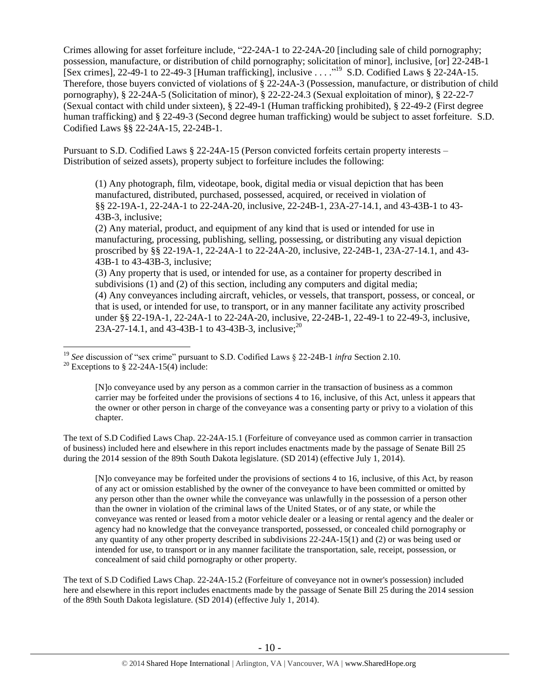<span id="page-9-0"></span>Crimes allowing for asset forfeiture include, "22-24A-1 to 22-24A-20 [including sale of child pornography; possession, manufacture, or distribution of child pornography; solicitation of minor], inclusive, [or] 22-24B-1 [Sex crimes], 22-49-1 to 22-49-3 [Human trafficking], inclusive . . . ." <sup>19</sup> S.D. Codified Laws § 22-24A-15. Therefore, those buyers convicted of violations of § 22-24A-3 (Possession, manufacture, or distribution of child pornography), § 22-24A-5 (Solicitation of minor), § 22-22-24.3 (Sexual exploitation of minor), § 22-22-7 (Sexual contact with child under sixteen), § 22-49-1 (Human trafficking prohibited), § 22-49-2 (First degree human trafficking) and § 22-49-3 (Second degree human trafficking) would be subject to asset forfeiture. S.D. Codified Laws §§ 22-24A-15, 22-24B-1.

Pursuant to S.D. Codified Laws § 22-24A-15 (Person convicted forfeits certain property interests – Distribution of seized assets), property subject to forfeiture includes the following:

(1) Any photograph, film, videotape, book, digital media or visual depiction that has been manufactured, distributed, purchased, possessed, acquired, or received in violation of §§ 22-19A-1, 22-24A-1 to 22-24A-20, inclusive, 22-24B-1, 23A-27-14.1, and 43-43B-1 to 43- 43B-3, inclusive;

(2) Any material, product, and equipment of any kind that is used or intended for use in manufacturing, processing, publishing, selling, possessing, or distributing any visual depiction proscribed by §§ 22-19A-1, 22-24A-1 to 22-24A-20, inclusive, 22-24B-1, 23A-27-14.1, and 43- 43B-1 to 43-43B-3, inclusive;

(3) Any property that is used, or intended for use, as a container for property described in subdivisions (1) and (2) of this section, including any computers and digital media; (4) Any conveyances including aircraft, vehicles, or vessels, that transport, possess, or conceal, or that is used, or intended for use, to transport, or in any manner facilitate any activity proscribed under §§ 22-19A-1, 22-24A-1 to 22-24A-20, inclusive, 22-24B-1, 22-49-1 to 22-49-3, inclusive, 23A-27-14.1, and 43-43B-1 to 43-43B-3, inclusive;<sup>20</sup>

[N]o conveyance used by any person as a common carrier in the transaction of business as a common carrier may be forfeited under the provisions of sections 4 to 16, inclusive, of this Act, unless it appears that the owner or other person in charge of the conveyance was a consenting party or privy to a violation of this chapter.

The text of S.D Codified Laws Chap. 22-24A-15.1 (Forfeiture of conveyance used as common carrier in transaction of business) included here and elsewhere in this report includes enactments made by the passage of Senate Bill 25 during the 2014 session of the 89th South Dakota legislature. (SD 2014) (effective July 1, 2014).

[N]o conveyance may be forfeited under the provisions of sections 4 to 16, inclusive, of this Act, by reason of any act or omission established by the owner of the conveyance to have been committed or omitted by any person other than the owner while the conveyance was unlawfully in the possession of a person other than the owner in violation of the criminal laws of the United States, or of any state, or while the conveyance was rented or leased from a motor vehicle dealer or a leasing or rental agency and the dealer or agency had no knowledge that the conveyance transported, possessed, or concealed child pornography or any quantity of any other property described in subdivisions 22-24A-15(1) and (2) or was being used or intended for use, to transport or in any manner facilitate the transportation, sale, receipt, possession, or concealment of said child pornography or other property.

The text of S.D Codified Laws Chap. 22-24A-15.2 (Forfeiture of conveyance not in owner's possession) included here and elsewhere in this report includes enactments made by the passage of Senate Bill 25 during the 2014 session of the 89th South Dakota legislature. (SD 2014) (effective July 1, 2014).

 $\overline{a}$ <sup>19</sup> *See* discussion of "sex crime" pursuant to S.D. Codified Laws § 22-24B-1 *infra* Section 2.10.

<sup>&</sup>lt;sup>20</sup> Exceptions to § 22-24A-15(4) include: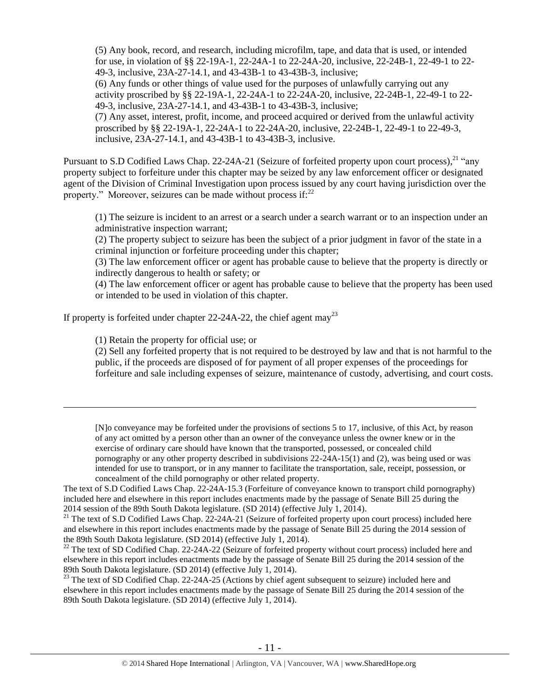(5) Any book, record, and research, including microfilm, tape, and data that is used, or intended for use, in violation of §§ 22-19A-1, 22-24A-1 to 22-24A-20, inclusive, 22-24B-1, 22-49-1 to 22- 49-3, inclusive, 23A-27-14.1, and 43-43B-1 to 43-43B-3, inclusive; (6) Any funds or other things of value used for the purposes of unlawfully carrying out any activity proscribed by §§ 22-19A-1, 22-24A-1 to 22-24A-20, inclusive, 22-24B-1, 22-49-1 to 22- 49-3, inclusive, 23A-27-14.1, and 43-43B-1 to 43-43B-3, inclusive; (7) Any asset, interest, profit, income, and proceed acquired or derived from the unlawful activity proscribed by §§ 22-19A-1, 22-24A-1 to 22-24A-20, inclusive, 22-24B-1, 22-49-1 to 22-49-3, inclusive, 23A-27-14.1, and 43-43B-1 to 43-43B-3, inclusive.

Pursuant to S.D Codified Laws Chap. 22-24A-21 (Seizure of forfeited property upon court process),<sup>21</sup> "any property subject to forfeiture under this chapter may be seized by any law enforcement officer or designated agent of the Division of Criminal Investigation upon process issued by any court having jurisdiction over the property." Moreover, seizures can be made without process if:<sup>22</sup>

<span id="page-10-1"></span><span id="page-10-0"></span>(1) The seizure is incident to an arrest or a search under a search warrant or to an inspection under an administrative inspection warrant;

(2) The property subject to seizure has been the subject of a prior judgment in favor of the state in a criminal injunction or forfeiture proceeding under this chapter;

(3) The law enforcement officer or agent has probable cause to believe that the property is directly or indirectly dangerous to health or safety; or

(4) The law enforcement officer or agent has probable cause to believe that the property has been used or intended to be used in violation of this chapter.

If property is forfeited under chapter 22-24A-22, the chief agent may<sup>23</sup>

<span id="page-10-2"></span>(1) Retain the property for official use; or

 $\overline{a}$ 

(2) Sell any forfeited property that is not required to be destroyed by law and that is not harmful to the public, if the proceeds are disposed of for payment of all proper expenses of the proceedings for forfeiture and sale including expenses of seizure, maintenance of custody, advertising, and court costs.

[N]o conveyance may be forfeited under the provisions of sections 5 to 17, inclusive, of this Act, by reason of any act omitted by a person other than an owner of the conveyance unless the owner knew or in the exercise of ordinary care should have known that the transported, possessed, or concealed child pornography or any other property described in subdivisions 22-24A-15(1) and (2), was being used or was intended for use to transport, or in any manner to facilitate the transportation, sale, receipt, possession, or concealment of the child pornography or other related property.

The text of S.D Codified Laws Chap. 22-24A-15.3 (Forfeiture of conveyance known to transport child pornography) included here and elsewhere in this report includes enactments made by the passage of Senate Bill 25 during the 2014 session of the 89th South Dakota legislature. (SD 2014) (effective July 1, 2014).

<sup>21</sup> The text of S.D Codified Laws Chap. 22-24A-21 (Seizure of forfeited property upon court process) included here and elsewhere in this report includes enactments made by the passage of Senate Bill 25 during the 2014 session of the 89th South Dakota legislature. (SD 2014) (effective July 1, 2014).

<sup>22</sup> The text of SD Codified Chap. 22-24A-22 (Seizure of forfeited property without court process) included here and elsewhere in this report includes enactments made by the passage of Senate Bill 25 during the 2014 session of the 89th South Dakota legislature. (SD 2014) (effective July 1, 2014).

<sup>23</sup> The text of SD Codified Chap. 22-24A-25 (Actions by chief agent subsequent to seizure) included here and elsewhere in this report includes enactments made by the passage of Senate Bill 25 during the 2014 session of the 89th South Dakota legislature. (SD 2014) (effective July 1, 2014).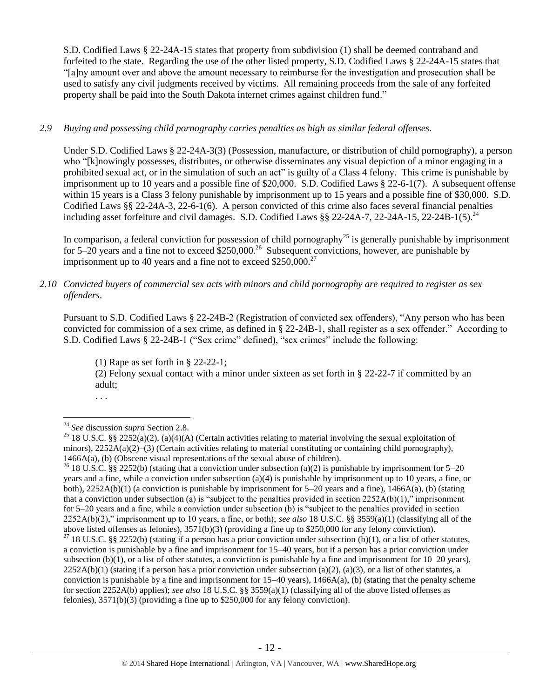S.D. Codified Laws § 22-24A-15 states that property from subdivision (1) shall be deemed contraband and forfeited to the state. Regarding the use of the other listed property, S.D. Codified Laws § 22-24A-15 states that "[a]ny amount over and above the amount necessary to reimburse for the investigation and prosecution shall be used to satisfy any civil judgments received by victims. All remaining proceeds from the sale of any forfeited property shall be paid into the South Dakota internet crimes against children fund."

## *2.9 Buying and possessing child pornography carries penalties as high as similar federal offenses.*

Under S.D. Codified Laws § 22-24A-3(3) (Possession, manufacture, or distribution of child pornography), a person who "[k]nowingly possesses, distributes, or otherwise disseminates any visual depiction of a minor engaging in a prohibited sexual act, or in the simulation of such an act" is guilty of a Class 4 felony. This crime is punishable by imprisonment up to 10 years and a possible fine of \$20,000. S.D. Codified Laws § 22-6-1(7). A subsequent offense within 15 years is a Class 3 felony punishable by imprisonment up to 15 years and a possible fine of \$30,000. S.D. Codified Laws §§ 22-24A-3, 22-6-1(6). A person convicted of this crime also faces several financial penalties including asset forfeiture and civil damages. S.D. Codified Laws §§ 22-24A-7, 22-24A-15, 22-24B-1(5).<sup>24</sup>

In comparison, a federal conviction for possession of child pornography<sup>25</sup> is generally punishable by imprisonment for 5–20 years and a fine not to exceed  $$250,000.<sup>26</sup>$  Subsequent convictions, however, are punishable by imprisonment up to 40 years and a fine not to exceed  $$250,000.<sup>27</sup>$ 

## *2.10 Convicted buyers of commercial sex acts with minors and child pornography are required to register as sex offenders*.

Pursuant to S.D. Codified Laws § 22-24B-2 (Registration of convicted sex offenders), "Any person who has been convicted for commission of a sex crime, as defined in § 22-24B-1, shall register as a sex offender." According to S.D. Codified Laws § 22-24B-1 ("Sex crime" defined), "sex crimes" include the following:

(1) Rape as set forth in § 22-22-1;

(2) Felony sexual contact with a minor under sixteen as set forth in § 22-22-7 if committed by an adult;

. . .

 $\overline{a}$ 

<sup>26</sup> 18 U.S.C. §§ 2252(b) (stating that a conviction under subsection (a)(2) is punishable by imprisonment for 5–20 years and a fine, while a conviction under subsection (a)(4) is punishable by imprisonment up to 10 years, a fine, or both),  $2252A(b)(1)$  (a conviction is punishable by imprisonment for  $5-20$  years and a fine),  $1466A(a)$ , (b) (stating that a conviction under subsection (a) is "subject to the penalties provided in section  $2252A(b)(1)$ ," imprisonment for 5–20 years and a fine, while a conviction under subsection (b) is "subject to the penalties provided in section 2252A(b)(2)," imprisonment up to 10 years, a fine, or both); *see also* 18 U.S.C. §§ 3559(a)(1) (classifying all of the above listed offenses as felonies), 3571(b)(3) (providing a fine up to \$250,000 for any felony conviction).

<sup>24</sup> *See* discussion *supra* Section 2.8.

<sup>&</sup>lt;sup>25</sup> 18 U.S.C. §§ 2252(a)(2), (a)(4)(A) (Certain activities relating to material involving the sexual exploitation of minors), 2252A(a)(2)–(3) (Certain activities relating to material constituting or containing child pornography), 1466A(a), (b) (Obscene visual representations of the sexual abuse of children).

<sup>&</sup>lt;sup>27</sup> 18 U.S.C. §§ 2252(b) (stating if a person has a prior conviction under subsection (b)(1), or a list of other statutes, a conviction is punishable by a fine and imprisonment for 15–40 years, but if a person has a prior conviction under subsection (b)(1), or a list of other statutes, a conviction is punishable by a fine and imprisonment for  $10-20$  years),  $2252A(b)(1)$  (stating if a person has a prior conviction under subsection (a)(2), (a)(3), or a list of other statutes, a conviction is punishable by a fine and imprisonment for  $15-40$  years),  $1466A(a)$ , (b) (stating that the penalty scheme for section 2252A(b) applies); *see also* 18 U.S.C. §§ 3559(a)(1) (classifying all of the above listed offenses as felonies), 3571(b)(3) (providing a fine up to \$250,000 for any felony conviction).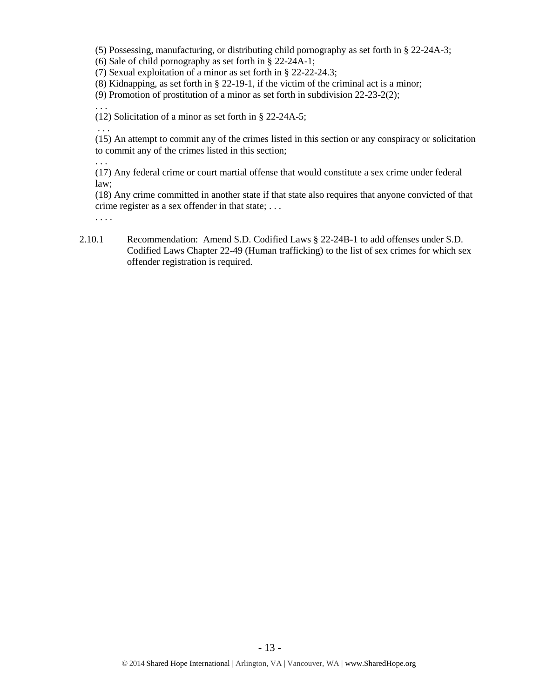(5) Possessing, manufacturing, or distributing child pornography as set forth in § 22-24A-3;

(6) Sale of child pornography as set forth in § 22-24A-1;

(7) Sexual exploitation of a minor as set forth in § 22-22-24.3;

(8) Kidnapping, as set forth in § 22-19-1, if the victim of the criminal act is a minor;

(9) Promotion of prostitution of a minor as set forth in subdivision 22-23-2(2);

(12) Solicitation of a minor as set forth in § 22-24A-5;

. . . (15) An attempt to commit any of the crimes listed in this section or any conspiracy or solicitation to commit any of the crimes listed in this section;

. . .

. . .

(17) Any federal crime or court martial offense that would constitute a sex crime under federal law;

(18) Any crime committed in another state if that state also requires that anyone convicted of that crime register as a sex offender in that state; . . .

. . . .

2.10.1 Recommendation: Amend S.D. Codified Laws § 22-24B-1 to add offenses under S.D. Codified Laws Chapter 22-49 (Human trafficking) to the list of sex crimes for which sex offender registration is required.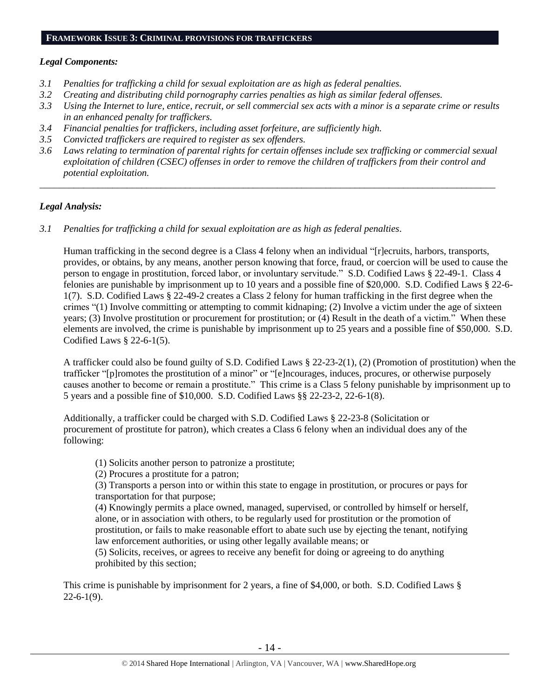#### **FRAMEWORK ISSUE 3: CRIMINAL PROVISIONS FOR TRAFFICKERS**

#### *Legal Components:*

- *3.1 Penalties for trafficking a child for sexual exploitation are as high as federal penalties.*
- *3.2 Creating and distributing child pornography carries penalties as high as similar federal offenses.*
- *3.3 Using the Internet to lure, entice, recruit, or sell commercial sex acts with a minor is a separate crime or results in an enhanced penalty for traffickers.*
- *3.4 Financial penalties for traffickers, including asset forfeiture, are sufficiently high.*
- *3.5 Convicted traffickers are required to register as sex offenders.*
- *3.6 Laws relating to termination of parental rights for certain offenses include sex trafficking or commercial sexual exploitation of children (CSEC) offenses in order to remove the children of traffickers from their control and potential exploitation.*

*\_\_\_\_\_\_\_\_\_\_\_\_\_\_\_\_\_\_\_\_\_\_\_\_\_\_\_\_\_\_\_\_\_\_\_\_\_\_\_\_\_\_\_\_\_\_\_\_\_\_\_\_\_\_\_\_\_\_\_\_\_\_\_\_\_\_\_\_\_\_\_\_\_\_\_\_\_\_\_\_\_\_\_\_\_\_\_\_\_\_\_\_\_\_*

#### *Legal Analysis:*

*3.1 Penalties for trafficking a child for sexual exploitation are as high as federal penalties.* 

Human trafficking in the second degree is a Class 4 felony when an individual "[r]ecruits, harbors, transports, provides, or obtains, by any means, another person knowing that force, fraud, or coercion will be used to cause the person to engage in prostitution, forced labor, or involuntary servitude." S.D. Codified Laws § 22-49-1. Class 4 felonies are punishable by imprisonment up to 10 years and a possible fine of \$20,000. S.D. Codified Laws § 22-6- 1(7). S.D. Codified Laws § 22-49-2 creates a Class 2 felony for human trafficking in the first degree when the crimes "(1) Involve committing or attempting to commit kidnaping; (2) Involve a victim under the age of sixteen years; (3) Involve prostitution or procurement for prostitution; or (4) Result in the death of a victim." When these elements are involved, the crime is punishable by imprisonment up to 25 years and a possible fine of \$50,000. S.D. Codified Laws § 22-6-1(5).

A trafficker could also be found guilty of S.D. Codified Laws § 22-23-2(1), (2) (Promotion of prostitution) when the trafficker "[p]romotes the prostitution of a minor" or "[e]ncourages, induces, procures, or otherwise purposely causes another to become or remain a prostitute." This crime is a Class 5 felony punishable by imprisonment up to 5 years and a possible fine of \$10,000. S.D. Codified Laws §§ 22-23-2, 22-6-1(8).

Additionally, a trafficker could be charged with S.D. Codified Laws § 22-23-8 (Solicitation or procurement of prostitute for patron), which creates a Class 6 felony when an individual does any of the following:

(1) Solicits another person to patronize a prostitute;

(2) Procures a prostitute for a patron;

(3) Transports a person into or within this state to engage in prostitution, or procures or pays for transportation for that purpose;

(4) Knowingly permits a place owned, managed, supervised, or controlled by himself or herself, alone, or in association with others, to be regularly used for prostitution or the promotion of prostitution, or fails to make reasonable effort to abate such use by ejecting the tenant, notifying law enforcement authorities, or using other legally available means; or

(5) Solicits, receives, or agrees to receive any benefit for doing or agreeing to do anything prohibited by this section;

This crime is punishable by imprisonment for 2 years, a fine of \$4,000, or both. S.D. Codified Laws §  $22-6-1(9)$ .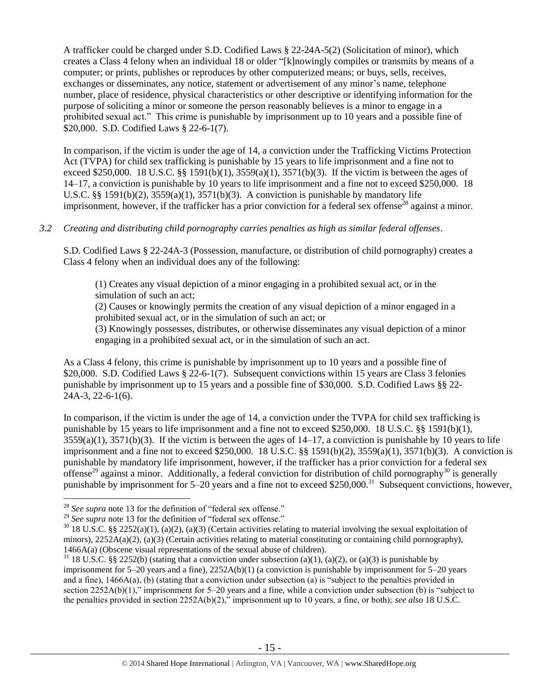A trafficker could be charged under S.D. Codified Laws § 22-24A-5(2) (Solicitation of minor), which creates a Class 4 felony when an individual 18 or older "[k]nowingly compiles or transmits by means of a computer; or prints, publishes or reproduces by other computerized means; or buys, sells, receives, exchanges or disseminates, any notice, statement or advertisement of any minor's name, telephone number, place of residence, physical characteristics or other descriptive or identifying information for the purpose of soliciting a minor or someone the person reasonably believes is a minor to engage in a prohibited sexual act." This crime is punishable by imprisonment up to 10 years and a possible fine of \$20,000. S.D. Codified Laws § 22-6-1(7).

In comparison, if the victim is under the age of 14, a conviction under the Trafficking Victims Protection Act (TVPA) for child sex trafficking is punishable by 15 years to life imprisonment and a fine not to exceed \$250,000. 18 U.S.C. §§ 1591(b)(1),  $3559(a)(1)$ ,  $3571(b)(3)$ . If the victim is between the ages of 14–17, a conviction is punishable by 10 years to life imprisonment and a fine not to exceed \$250,000. 18 U.S.C. §§ 1591(b)(2),  $3559(a)(1)$ ,  $3571(b)(3)$ . A conviction is punishable by mandatory life imprisonment, however, if the trafficker has a prior conviction for a federal sex offense<sup>28</sup> against a minor.

#### *3.2 Creating and distributing child pornography carries penalties as high as similar federal offenses*.

S.D. Codified Laws § 22-24A-3 (Possession, manufacture, or distribution of child pornography) creates a Class 4 felony when an individual does any of the following:

(1) Creates any visual depiction of a minor engaging in a prohibited sexual act, or in the simulation of such an act;

(2) Causes or knowingly permits the creation of any visual depiction of a minor engaged in a prohibited sexual act, or in the simulation of such an act; or

(3) Knowingly possesses, distributes, or otherwise disseminates any visual depiction of a minor engaging in a prohibited sexual act, or in the simulation of such an act.

As a Class 4 felony, this crime is punishable by imprisonment up to 10 years and a possible fine of \$20,000. S.D. Codified Laws § 22-6-1(7). Subsequent convictions within 15 years are Class 3 felonies punishable by imprisonment up to 15 years and a possible fine of \$30,000. S.D. Codified Laws §§ 22- 24A-3, 22-6-1(6).

In comparison, if the victim is under the age of 14, a conviction under the TVPA for child sex trafficking is punishable by 15 years to life imprisonment and a fine not to exceed \$250,000. 18 U.S.C. §§ 1591(b)(1),  $3559(a)(1)$ ,  $3571(b)(3)$ . If the victim is between the ages of  $14-17$ , a conviction is punishable by 10 years to life imprisonment and a fine not to exceed \$250,000. 18 U.S.C.  $\S$  1591(b)(2), 3559(a)(1), 3571(b)(3). A conviction is punishable by mandatory life imprisonment, however, if the trafficker has a prior conviction for a federal sex offense<sup>29</sup> against a minor. Additionally, a federal conviction for distribution of child pornography<sup>30</sup> is generally punishable by imprisonment for  $5-20$  years and a fine not to exceed \$250,000.<sup>31</sup> Subsequent convictions, however,

 $\overline{a}$ <sup>28</sup> *See supra* note [13](#page-6-0) for the definition of "federal sex offense."

<sup>&</sup>lt;sup>29</sup> See supra note [13](#page-6-0) for the definition of "federal sex offense."

 $30\,18$  U.S.C. §§ 2252(a)(1), (a)(2), (a)(3) (Certain activities relating to material involving the sexual exploitation of minors),  $2252A(a)(2)$ ,  $(a)(3)$  (Certain activities relating to material constituting or containing child pornography), 1466A(a) (Obscene visual representations of the sexual abuse of children).

 $31$  18 U.S.C. §§ 2252(b) (stating that a conviction under subsection (a)(1), (a)(2), or (a)(3) is punishable by imprisonment for  $5-20$  years and a fine),  $2252A(b)(1)$  (a conviction is punishable by imprisonment for  $5-20$  years and a fine), 1466A(a), (b) (stating that a conviction under subsection (a) is "subject to the penalties provided in section 2252A(b)(1)," imprisonment for 5–20 years and a fine, while a conviction under subsection (b) is "subject to the penalties provided in section 2252A(b)(2)," imprisonment up to 10 years, a fine, or both); *see also* 18 U.S.C.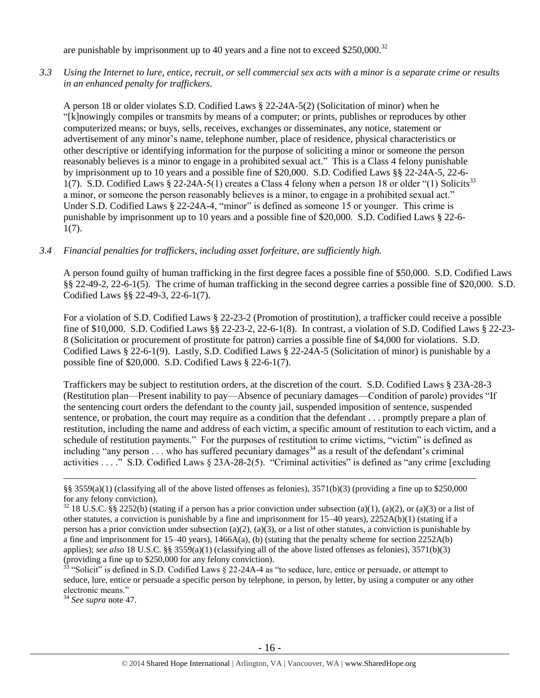are punishable by imprisonment up to 40 years and a fine not to exceed \$250,000.<sup>32</sup>

*3.3 Using the Internet to lure, entice, recruit, or sell commercial sex acts with a minor is a separate crime or results in an enhanced penalty for traffickers.*

A person 18 or older violates S.D. Codified Laws § 22-24A-5(2) (Solicitation of minor) when he "[k]nowingly compiles or transmits by means of a computer; or prints, publishes or reproduces by other computerized means; or buys, sells, receives, exchanges or disseminates, any notice, statement or advertisement of any minor's name, telephone number, place of residence, physical characteristics or other descriptive or identifying information for the purpose of soliciting a minor or someone the person reasonably believes is a minor to engage in a prohibited sexual act." This is a Class 4 felony punishable by imprisonment up to 10 years and a possible fine of \$20,000. S.D. Codified Laws §§ 22-24A-5, 22-6- 1(7). S.D. Codified Laws § 22-24A-5(1) creates a Class 4 felony when a person 18 or older "(1) Solicits<sup>33</sup> a minor, or someone the person reasonably believes is a minor, to engage in a prohibited sexual act." Under S.D. Codified Laws § 22-24A-4, "minor" is defined as someone 15 or younger. This crime is punishable by imprisonment up to 10 years and a possible fine of \$20,000. S.D. Codified Laws § 22-6- 1(7).

#### *3.4 Financial penalties for traffickers, including asset forfeiture, are sufficiently high.*

A person found guilty of human trafficking in the first degree faces a possible fine of \$50,000. S.D. Codified Laws §§ 22-49-2, 22-6-1(5). The crime of human trafficking in the second degree carries a possible fine of \$20,000. S.D. Codified Laws §§ 22-49-3, 22-6-1(7).

For a violation of S.D. Codified Laws § 22-23-2 (Promotion of prostitution), a trafficker could receive a possible fine of \$10,000. S.D. Codified Laws §§ 22-23-2, 22-6-1(8). In contrast, a violation of S.D. Codified Laws § 22-23- 8 (Solicitation or procurement of prostitute for patron) carries a possible fine of \$4,000 for violations. S.D. Codified Laws § 22-6-1(9). Lastly, S.D. Codified Laws § 22-24A-5 (Solicitation of minor) is punishable by a possible fine of \$20,000. S.D. Codified Laws § 22-6-1(7).

Traffickers may be subject to restitution orders, at the discretion of the court. S.D. Codified Laws § 23A-28-3 (Restitution plan—Present inability to pay—Absence of pecuniary damages—Condition of parole) provides "If the sentencing court orders the defendant to the county jail, suspended imposition of sentence, suspended sentence, or probation, the court may require as a condition that the defendant . . . promptly prepare a plan of restitution, including the name and address of each victim, a specific amount of restitution to each victim, and a schedule of restitution payments." For the purposes of restitution to crime victims, "victim" is defined as including "any person  $\ldots$  who has suffered pecuniary damages<sup>34</sup> as a result of the defendant's criminal activities . . . ." S.D. Codified Laws § 23A-28-2(5). "Criminal activities" is defined as "any crime [excluding

<sup>34</sup> *See supra* note [47.](#page-24-0)

<sup>§§ 3559(</sup>a)(1) (classifying all of the above listed offenses as felonies),  $3571(b)(3)$  (providing a fine up to \$250,000 for any felony conviction).

 $32$  18 U.S.C. §§ 2252(b) (stating if a person has a prior conviction under subsection (a)(1), (a)(2), or (a)(3) or a list of other statutes, a conviction is punishable by a fine and imprisonment for 15–40 years), 2252A(b)(1) (stating if a person has a prior conviction under subsection (a)(2), (a)(3), or a list of other statutes, a conviction is punishable by a fine and imprisonment for  $15-40$  years),  $1466A(a)$ , (b) (stating that the penalty scheme for section  $2252A(b)$ applies); *see also* 18 U.S.C. §§ 3559(a)(1) (classifying all of the above listed offenses as felonies), 3571(b)(3) (providing a fine up to \$250,000 for any felony conviction).

<sup>33</sup> "Solicit" is defined in S.D. Codified Laws § 22-24A-4 as "to seduce, lure, entice or persuade, or attempt to seduce, lure, entice or persuade a specific person by telephone, in person, by letter, by using a computer or any other electronic means."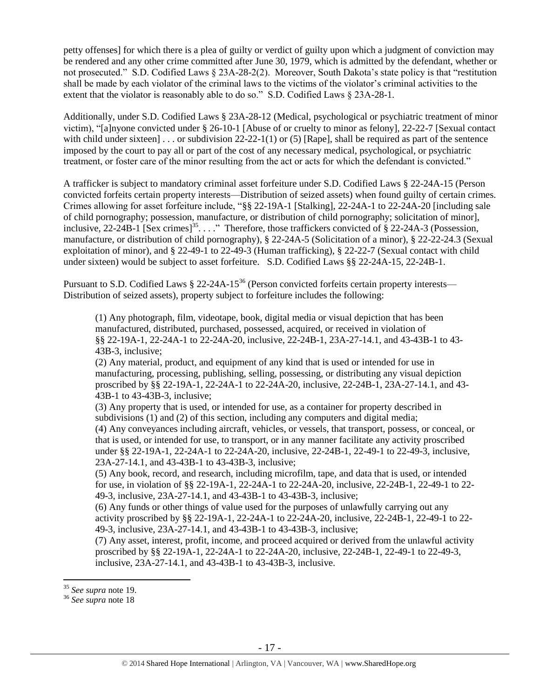petty offenses] for which there is a plea of guilty or verdict of guilty upon which a judgment of conviction may be rendered and any other crime committed after June 30, 1979, which is admitted by the defendant, whether or not prosecuted." S.D. Codified Laws § 23A-28-2(2). Moreover, South Dakota's state policy is that "restitution shall be made by each violator of the criminal laws to the victims of the violator's criminal activities to the extent that the violator is reasonably able to do so." S.D. Codified Laws § 23A-28-1.

Additionally, under S.D. Codified Laws § 23A-28-12 (Medical, psychological or psychiatric treatment of minor victim), "[a]nyone convicted under § 26-10-1 [Abuse of or cruelty to minor as felony], 22-22-7 [Sexual contact with child under sixteen] . . . or subdivision  $22-22-1(1)$  or (5) [Rape], shall be required as part of the sentence imposed by the court to pay all or part of the cost of any necessary medical, psychological, or psychiatric treatment, or foster care of the minor resulting from the act or acts for which the defendant is convicted."

A trafficker is subject to mandatory criminal asset forfeiture under S.D. Codified Laws § 22-24A-15 (Person convicted forfeits certain property interests—Distribution of seized assets) when found guilty of certain crimes. Crimes allowing for asset forfeiture include, "§§ 22-19A-1 [Stalking], 22-24A-1 to 22-24A-20 [including sale of child pornography; possession, manufacture, or distribution of child pornography; solicitation of minor], inclusive, 22-24B-1 [Sex crimes]<sup>35</sup>...." Therefore, those traffickers convicted of § 22-24A-3 (Possession, manufacture, or distribution of child pornography), § 22-24A-5 (Solicitation of a minor), § 22-22-24.3 (Sexual exploitation of minor), and § 22-49-1 to 22-49-3 (Human trafficking), § 22-22-7 (Sexual contact with child under sixteen) would be subject to asset forfeiture. S.D. Codified Laws §§ 22-24A-15, 22-24B-1.

Pursuant to S.D. Codified Laws § 22-24A-15<sup>36</sup> (Person convicted forfeits certain property interests— Distribution of seized assets), property subject to forfeiture includes the following:

(1) Any photograph, film, videotape, book, digital media or visual depiction that has been manufactured, distributed, purchased, possessed, acquired, or received in violation of §§ 22-19A-1, 22-24A-1 to 22-24A-20, inclusive, 22-24B-1, 23A-27-14.1, and 43-43B-1 to 43- 43B-3, inclusive;

(2) Any material, product, and equipment of any kind that is used or intended for use in manufacturing, processing, publishing, selling, possessing, or distributing any visual depiction proscribed by §§ 22-19A-1, 22-24A-1 to 22-24A-20, inclusive, 22-24B-1, 23A-27-14.1, and 43- 43B-1 to 43-43B-3, inclusive;

(3) Any property that is used, or intended for use, as a container for property described in subdivisions (1) and (2) of this section, including any computers and digital media; (4) Any conveyances including aircraft, vehicles, or vessels, that transport, possess, or conceal, or that is used, or intended for use, to transport, or in any manner facilitate any activity proscribed under §§ 22-19A-1, 22-24A-1 to 22-24A-20, inclusive, 22-24B-1, 22-49-1 to 22-49-3, inclusive, 23A-27-14.1, and 43-43B-1 to 43-43B-3, inclusive;

(5) Any book, record, and research, including microfilm, tape, and data that is used, or intended for use, in violation of §§ 22-19A-1, 22-24A-1 to 22-24A-20, inclusive, 22-24B-1, 22-49-1 to 22- 49-3, inclusive, 23A-27-14.1, and 43-43B-1 to 43-43B-3, inclusive;

(6) Any funds or other things of value used for the purposes of unlawfully carrying out any activity proscribed by §§ 22-19A-1, 22-24A-1 to 22-24A-20, inclusive, 22-24B-1, 22-49-1 to 22- 49-3, inclusive, 23A-27-14.1, and 43-43B-1 to 43-43B-3, inclusive;

(7) Any asset, interest, profit, income, and proceed acquired or derived from the unlawful activity proscribed by §§ 22-19A-1, 22-24A-1 to 22-24A-20, inclusive, 22-24B-1, 22-49-1 to 22-49-3, inclusive, 23A-27-14.1, and 43-43B-1 to 43-43B-3, inclusive.

<sup>35</sup> *See supra* note [19.](#page-9-0)

<sup>36</sup> *See supra* note [18](#page-8-0)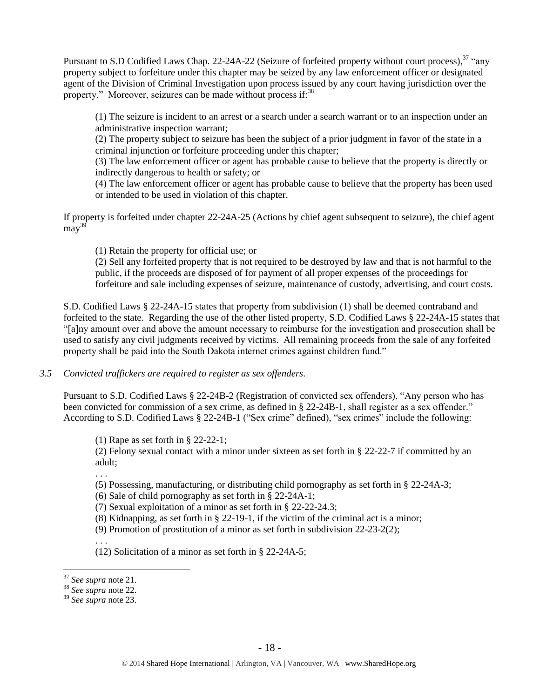Pursuant to S.D Codified Laws Chap. 22-24A-22 (Seizure of forfeited property without court process), <sup>37</sup> "any property subject to forfeiture under this chapter may be seized by any law enforcement officer or designated agent of the Division of Criminal Investigation upon process issued by any court having jurisdiction over the property." Moreover, seizures can be made without process if:<sup>38</sup>

(1) The seizure is incident to an arrest or a search under a search warrant or to an inspection under an administrative inspection warrant;

(2) The property subject to seizure has been the subject of a prior judgment in favor of the state in a criminal injunction or forfeiture proceeding under this chapter;

(3) The law enforcement officer or agent has probable cause to believe that the property is directly or indirectly dangerous to health or safety; or

(4) The law enforcement officer or agent has probable cause to believe that the property has been used or intended to be used in violation of this chapter.

If property is forfeited under chapter 22-24A-25 (Actions by chief agent subsequent to seizure), the chief agent  $\text{mav}^{39}$ 

(1) Retain the property for official use; or

(2) Sell any forfeited property that is not required to be destroyed by law and that is not harmful to the public, if the proceeds are disposed of for payment of all proper expenses of the proceedings for forfeiture and sale including expenses of seizure, maintenance of custody, advertising, and court costs.

S.D. Codified Laws § 22-24A-15 states that property from subdivision (1) shall be deemed contraband and forfeited to the state. Regarding the use of the other listed property, S.D. Codified Laws § 22-24A-15 states that "[a]ny amount over and above the amount necessary to reimburse for the investigation and prosecution shall be used to satisfy any civil judgments received by victims. All remaining proceeds from the sale of any forfeited property shall be paid into the South Dakota internet crimes against children fund."

*3.5 Convicted traffickers are required to register as sex offenders.*

Pursuant to S.D. Codified Laws § 22-24B-2 (Registration of convicted sex offenders), "Any person who has been convicted for commission of a sex crime, as defined in § 22-24B-1, shall register as a sex offender." According to S.D. Codified Laws § 22-24B-1 ("Sex crime" defined), "sex crimes" include the following:

(1) Rape as set forth in § 22-22-1;

(2) Felony sexual contact with a minor under sixteen as set forth in § 22-22-7 if committed by an adult;

. . .

(5) Possessing, manufacturing, or distributing child pornography as set forth in § 22-24A-3;

(6) Sale of child pornography as set forth in § 22-24A-1;

(7) Sexual exploitation of a minor as set forth in § 22-22-24.3;

(8) Kidnapping, as set forth in § 22-19-1, if the victim of the criminal act is a minor;

(9) Promotion of prostitution of a minor as set forth in subdivision 22-23-2(2);

. . . (12) Solicitation of a minor as set forth in § 22-24A-5;

<sup>37</sup> *See supra* note [21.](#page-10-0)

<sup>38</sup> *See supra* note [22.](#page-10-1)

<sup>39</sup> *See supra* note [23.](#page-10-2)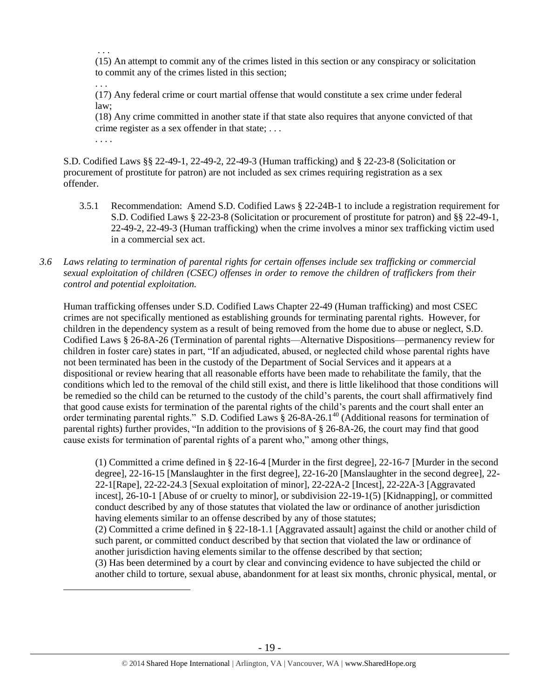. . . (15) An attempt to commit any of the crimes listed in this section or any conspiracy or solicitation to commit any of the crimes listed in this section;

(17) Any federal crime or court martial offense that would constitute a sex crime under federal law;

(18) Any crime committed in another state if that state also requires that anyone convicted of that crime register as a sex offender in that state; . . .

S.D. Codified Laws §§ 22-49-1, 22-49-2, 22-49-3 (Human trafficking) and § 22-23-8 (Solicitation or procurement of prostitute for patron) are not included as sex crimes requiring registration as a sex offender.

. . .

. . . .

 $\overline{a}$ 

- 3.5.1 Recommendation: Amend S.D. Codified Laws § 22-24B-1 to include a registration requirement for S.D. Codified Laws § 22-23-8 (Solicitation or procurement of prostitute for patron) and §§ 22-49-1, 22-49-2, 22-49-3 (Human trafficking) when the crime involves a minor sex trafficking victim used in a commercial sex act.
- *3.6 Laws relating to termination of parental rights for certain offenses include sex trafficking or commercial sexual exploitation of children (CSEC) offenses in order to remove the children of traffickers from their control and potential exploitation.*

Human trafficking offenses under S.D. Codified Laws Chapter 22-49 (Human trafficking) and most CSEC crimes are not specifically mentioned as establishing grounds for terminating parental rights. However, for children in the dependency system as a result of being removed from the home due to abuse or neglect, S.D. Codified Laws § 26-8A-26 (Termination of parental rights—Alternative Dispositions—permanency review for children in foster care) states in part, "If an adjudicated, abused, or neglected child whose parental rights have not been terminated has been in the custody of the Department of Social Services and it appears at a dispositional or review hearing that all reasonable efforts have been made to rehabilitate the family, that the conditions which led to the removal of the child still exist, and there is little likelihood that those conditions will be remedied so the child can be returned to the custody of the child's parents, the court shall affirmatively find that good cause exists for termination of the parental rights of the child's parents and the court shall enter an order terminating parental rights." S.D. Codified Laws § 26-8A-26.1<sup>40</sup> (Additional reasons for termination of parental rights) further provides, "In addition to the provisions of § 26-8A-26, the court may find that good cause exists for termination of parental rights of a parent who," among other things,

(1) Committed a crime defined in § 22-16-4 [Murder in the first degree], 22-16-7 [Murder in the second degree], 22-16-15 [Manslaughter in the first degree], 22-16-20 [Manslaughter in the second degree], 22- 22-1[Rape], 22-22-24.3 [Sexual exploitation of minor], 22-22A-2 [Incest], 22-22A-3 [Aggravated incest], 26-10-1 [Abuse of or cruelty to minor], or subdivision 22-19-1(5) [Kidnapping], or committed conduct described by any of those statutes that violated the law or ordinance of another jurisdiction having elements similar to an offense described by any of those statutes; (2) Committed a crime defined in § 22-18-1.1 [Aggravated assault] against the child or another child of such parent, or committed conduct described by that section that violated the law or ordinance of another jurisdiction having elements similar to the offense described by that section;

(3) Has been determined by a court by clear and convincing evidence to have subjected the child or another child to torture, sexual abuse, abandonment for at least six months, chronic physical, mental, or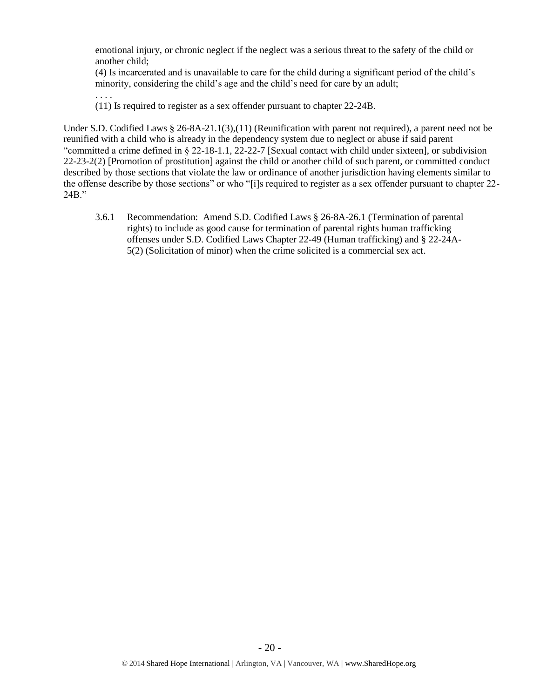emotional injury, or chronic neglect if the neglect was a serious threat to the safety of the child or another child;

(4) Is incarcerated and is unavailable to care for the child during a significant period of the child's minority, considering the child's age and the child's need for care by an adult;

(11) Is required to register as a sex offender pursuant to chapter 22-24B.

. . . .

Under S.D. Codified Laws § 26-8A-21.1(3),(11) (Reunification with parent not required), a parent need not be reunified with a child who is already in the dependency system due to neglect or abuse if said parent "committed a crime defined in § 22-18-1.1, 22-22-7 [Sexual contact with child under sixteen], or subdivision 22-23-2(2) [Promotion of prostitution] against the child or another child of such parent, or committed conduct described by those sections that violate the law or ordinance of another jurisdiction having elements similar to the offense describe by those sections" or who "[i]s required to register as a sex offender pursuant to chapter 22- 24B."

3.6.1 Recommendation: Amend S.D. Codified Laws § 26-8A-26.1 (Termination of parental rights) to include as good cause for termination of parental rights human trafficking offenses under S.D. Codified Laws Chapter 22-49 (Human trafficking) and § 22-24A-5(2) (Solicitation of minor) when the crime solicited is a commercial sex act.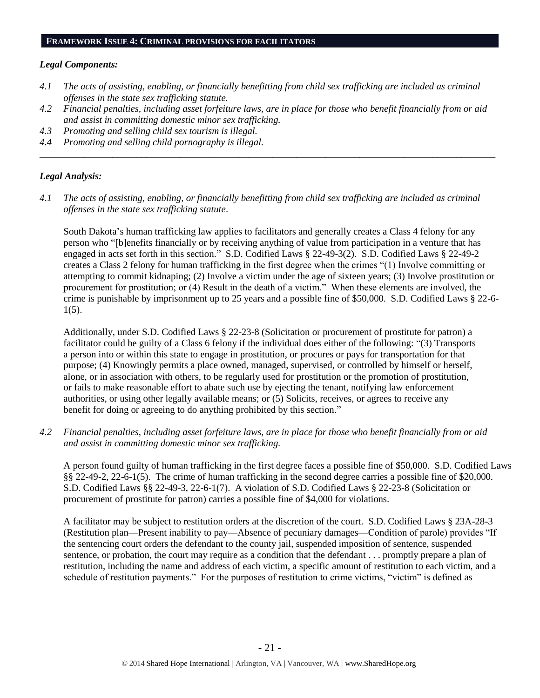#### **FRAMEWORK ISSUE 4: CRIMINAL PROVISIONS FOR FACILITATORS**

#### *Legal Components:*

- *4.1 The acts of assisting, enabling, or financially benefitting from child sex trafficking are included as criminal offenses in the state sex trafficking statute.*
- *4.2 Financial penalties, including asset forfeiture laws, are in place for those who benefit financially from or aid and assist in committing domestic minor sex trafficking.*

*\_\_\_\_\_\_\_\_\_\_\_\_\_\_\_\_\_\_\_\_\_\_\_\_\_\_\_\_\_\_\_\_\_\_\_\_\_\_\_\_\_\_\_\_\_\_\_\_\_\_\_\_\_\_\_\_\_\_\_\_\_\_\_\_\_\_\_\_\_\_\_\_\_\_\_\_\_\_\_\_\_\_\_\_\_\_\_\_\_\_\_\_\_\_*

- *4.3 Promoting and selling child sex tourism is illegal.*
- *4.4 Promoting and selling child pornography is illegal.*

#### *Legal Analysis:*

*4.1 The acts of assisting, enabling, or financially benefitting from child sex trafficking are included as criminal offenses in the state sex trafficking statute*.

South Dakota's human trafficking law applies to facilitators and generally creates a Class 4 felony for any person who "[b]enefits financially or by receiving anything of value from participation in a venture that has engaged in acts set forth in this section." S.D. Codified Laws § 22-49-3(2). S.D. Codified Laws § 22-49-2 creates a Class 2 felony for human trafficking in the first degree when the crimes "(1) Involve committing or attempting to commit kidnaping; (2) Involve a victim under the age of sixteen years; (3) Involve prostitution or procurement for prostitution; or (4) Result in the death of a victim." When these elements are involved, the crime is punishable by imprisonment up to 25 years and a possible fine of \$50,000. S.D. Codified Laws § 22-6- 1(5).

Additionally, under S.D. Codified Laws § 22-23-8 (Solicitation or procurement of prostitute for patron) a facilitator could be guilty of a Class 6 felony if the individual does either of the following: "(3) Transports a person into or within this state to engage in prostitution, or procures or pays for transportation for that purpose; (4) Knowingly permits a place owned, managed, supervised, or controlled by himself or herself, alone, or in association with others, to be regularly used for prostitution or the promotion of prostitution, or fails to make reasonable effort to abate such use by ejecting the tenant, notifying law enforcement authorities, or using other legally available means; or (5) Solicits, receives, or agrees to receive any benefit for doing or agreeing to do anything prohibited by this section."

*4.2 Financial penalties, including asset forfeiture laws, are in place for those who benefit financially from or aid and assist in committing domestic minor sex trafficking.*

A person found guilty of human trafficking in the first degree faces a possible fine of \$50,000. S.D. Codified Laws §§ 22-49-2, 22-6-1(5). The crime of human trafficking in the second degree carries a possible fine of \$20,000. S.D. Codified Laws §§ 22-49-3, 22-6-1(7). A violation of S.D. Codified Laws § 22-23-8 (Solicitation or procurement of prostitute for patron) carries a possible fine of \$4,000 for violations.

A facilitator may be subject to restitution orders at the discretion of the court. S.D. Codified Laws § 23A-28-3 (Restitution plan—Present inability to pay—Absence of pecuniary damages—Condition of parole) provides "If the sentencing court orders the defendant to the county jail, suspended imposition of sentence, suspended sentence, or probation, the court may require as a condition that the defendant . . . promptly prepare a plan of restitution, including the name and address of each victim, a specific amount of restitution to each victim, and a schedule of restitution payments." For the purposes of restitution to crime victims, "victim" is defined as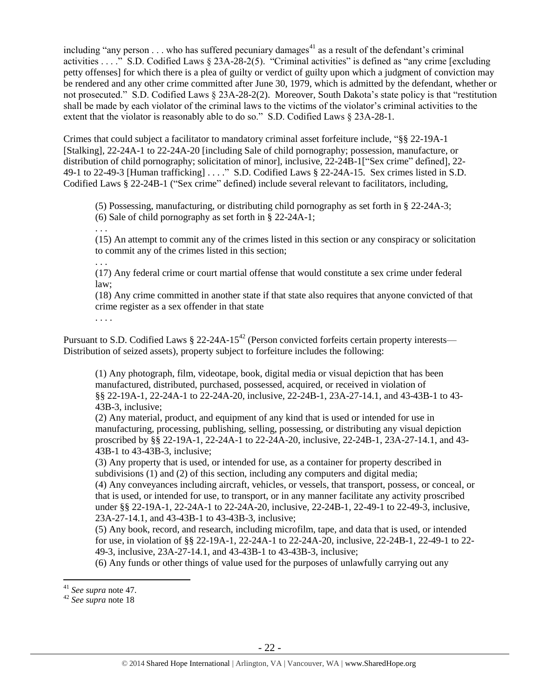including "any person  $\dots$  who has suffered pecuniary damages<sup>41</sup> as a result of the defendant's criminal activities . . . ." S.D. Codified Laws § 23A-28-2(5). "Criminal activities" is defined as "any crime [excluding petty offenses] for which there is a plea of guilty or verdict of guilty upon which a judgment of conviction may be rendered and any other crime committed after June 30, 1979, which is admitted by the defendant, whether or not prosecuted." S.D. Codified Laws § 23A-28-2(2). Moreover, South Dakota's state policy is that "restitution shall be made by each violator of the criminal laws to the victims of the violator's criminal activities to the extent that the violator is reasonably able to do so." S.D. Codified Laws § 23A-28-1.

Crimes that could subject a facilitator to mandatory criminal asset forfeiture include, "§§ 22-19A-1 [Stalking], 22-24A-1 to 22-24A-20 [including Sale of child pornography; possession, manufacture, or distribution of child pornography; solicitation of minor], inclusive, 22-24B-1["Sex crime" defined], 22- 49-1 to 22-49-3 [Human trafficking] . . . ." S.D. Codified Laws § 22-24A-15. Sex crimes listed in S.D. Codified Laws § 22-24B-1 ("Sex crime" defined) include several relevant to facilitators, including,

(5) Possessing, manufacturing, or distributing child pornography as set forth in § 22-24A-3; (6) Sale of child pornography as set forth in § 22-24A-1;

. . .

(15) An attempt to commit any of the crimes listed in this section or any conspiracy or solicitation to commit any of the crimes listed in this section;

. . .

(17) Any federal crime or court martial offense that would constitute a sex crime under federal law;

(18) Any crime committed in another state if that state also requires that anyone convicted of that crime register as a sex offender in that state

. . . .

Pursuant to S.D. Codified Laws  $\S 22$ -24A-15<sup>42</sup> (Person convicted forfeits certain property interests— Distribution of seized assets), property subject to forfeiture includes the following:

(1) Any photograph, film, videotape, book, digital media or visual depiction that has been manufactured, distributed, purchased, possessed, acquired, or received in violation of §§ 22-19A-1, 22-24A-1 to 22-24A-20, inclusive, 22-24B-1, 23A-27-14.1, and 43-43B-1 to 43- 43B-3, inclusive;

(2) Any material, product, and equipment of any kind that is used or intended for use in manufacturing, processing, publishing, selling, possessing, or distributing any visual depiction proscribed by §§ 22-19A-1, 22-24A-1 to 22-24A-20, inclusive, 22-24B-1, 23A-27-14.1, and 43- 43B-1 to 43-43B-3, inclusive;

(3) Any property that is used, or intended for use, as a container for property described in subdivisions (1) and (2) of this section, including any computers and digital media;

(4) Any conveyances including aircraft, vehicles, or vessels, that transport, possess, or conceal, or that is used, or intended for use, to transport, or in any manner facilitate any activity proscribed under §§ 22-19A-1, 22-24A-1 to 22-24A-20, inclusive, 22-24B-1, 22-49-1 to 22-49-3, inclusive, 23A-27-14.1, and 43-43B-1 to 43-43B-3, inclusive;

(5) Any book, record, and research, including microfilm, tape, and data that is used, or intended for use, in violation of §§ 22-19A-1, 22-24A-1 to 22-24A-20, inclusive, 22-24B-1, 22-49-1 to 22- 49-3, inclusive, 23A-27-14.1, and 43-43B-1 to 43-43B-3, inclusive;

(6) Any funds or other things of value used for the purposes of unlawfully carrying out any

<sup>41</sup> *See supra* note [47.](#page-24-0)

<sup>42</sup> *See supra* note [18](#page-8-0)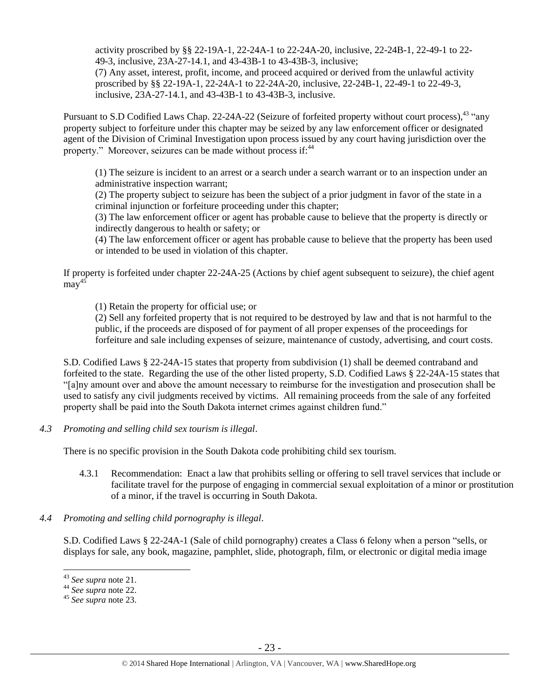activity proscribed by §§ 22-19A-1, 22-24A-1 to 22-24A-20, inclusive, 22-24B-1, 22-49-1 to 22- 49-3, inclusive, 23A-27-14.1, and 43-43B-1 to 43-43B-3, inclusive;

(7) Any asset, interest, profit, income, and proceed acquired or derived from the unlawful activity proscribed by §§ 22-19A-1, 22-24A-1 to 22-24A-20, inclusive, 22-24B-1, 22-49-1 to 22-49-3, inclusive, 23A-27-14.1, and 43-43B-1 to 43-43B-3, inclusive.

Pursuant to S.D Codified Laws Chap. 22-24A-22 (Seizure of forfeited property without court process), <sup>43</sup> "any property subject to forfeiture under this chapter may be seized by any law enforcement officer or designated agent of the Division of Criminal Investigation upon process issued by any court having jurisdiction over the property." Moreover, seizures can be made without process if:<sup>44</sup>

(1) The seizure is incident to an arrest or a search under a search warrant or to an inspection under an administrative inspection warrant;

(2) The property subject to seizure has been the subject of a prior judgment in favor of the state in a criminal injunction or forfeiture proceeding under this chapter;

(3) The law enforcement officer or agent has probable cause to believe that the property is directly or indirectly dangerous to health or safety; or

(4) The law enforcement officer or agent has probable cause to believe that the property has been used or intended to be used in violation of this chapter.

If property is forfeited under chapter 22-24A-25 (Actions by chief agent subsequent to seizure), the chief agent  $\arcsin^{45}$ 

(1) Retain the property for official use; or

(2) Sell any forfeited property that is not required to be destroyed by law and that is not harmful to the public, if the proceeds are disposed of for payment of all proper expenses of the proceedings for forfeiture and sale including expenses of seizure, maintenance of custody, advertising, and court costs.

S.D. Codified Laws § 22-24A-15 states that property from subdivision (1) shall be deemed contraband and forfeited to the state. Regarding the use of the other listed property, S.D. Codified Laws § 22-24A-15 states that "[a]ny amount over and above the amount necessary to reimburse for the investigation and prosecution shall be used to satisfy any civil judgments received by victims. All remaining proceeds from the sale of any forfeited property shall be paid into the South Dakota internet crimes against children fund."

*4.3 Promoting and selling child sex tourism is illegal*.

There is no specific provision in the South Dakota code prohibiting child sex tourism.

- 4.3.1 Recommendation: Enact a law that prohibits selling or offering to sell travel services that include or facilitate travel for the purpose of engaging in commercial sexual exploitation of a minor or prostitution of a minor, if the travel is occurring in South Dakota.
- *4.4 Promoting and selling child pornography is illegal*.

S.D. Codified Laws § 22-24A-1 (Sale of child pornography) creates a Class 6 felony when a person "sells, or displays for sale, any book, magazine, pamphlet, slide, photograph, film, or electronic or digital media image

<sup>43</sup> *See supra* note [21.](#page-10-0)

<sup>44</sup> *See supra* note [22.](#page-10-1)

<sup>45</sup> *See supra* note [23.](#page-10-2)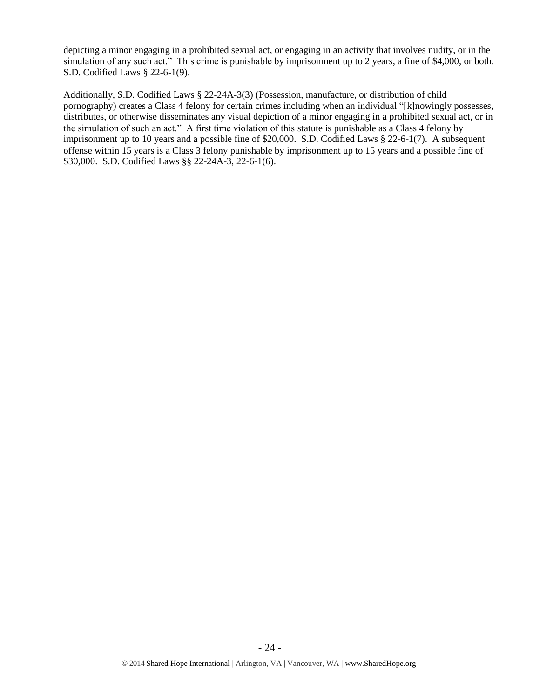depicting a minor engaging in a prohibited sexual act, or engaging in an activity that involves nudity, or in the simulation of any such act." This crime is punishable by imprisonment up to 2 years, a fine of \$4,000, or both. S.D. Codified Laws § 22-6-1(9).

Additionally, S.D. Codified Laws § 22-24A-3(3) (Possession, manufacture, or distribution of child pornography) creates a Class 4 felony for certain crimes including when an individual "[k]nowingly possesses, distributes, or otherwise disseminates any visual depiction of a minor engaging in a prohibited sexual act, or in the simulation of such an act." A first time violation of this statute is punishable as a Class 4 felony by imprisonment up to 10 years and a possible fine of \$20,000. S.D. Codified Laws § 22-6-1(7). A subsequent offense within 15 years is a Class 3 felony punishable by imprisonment up to 15 years and a possible fine of \$30,000. S.D. Codified Laws §§ 22-24A-3, 22-6-1(6).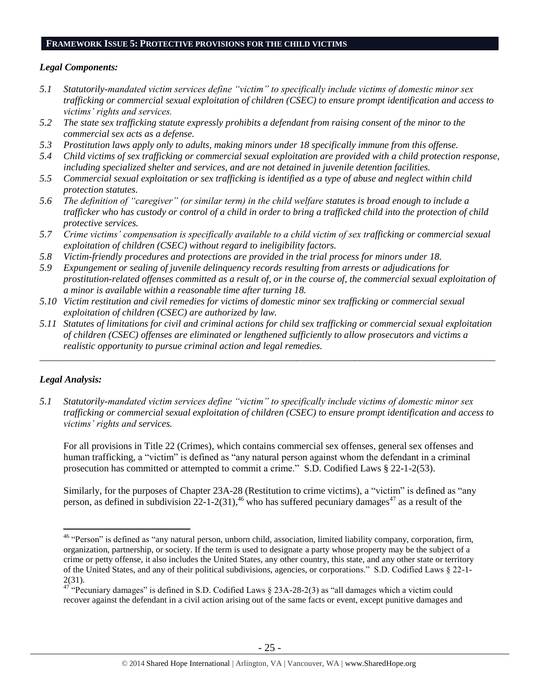#### **FRAMEWORK ISSUE 5: PROTECTIVE PROVISIONS FOR THE CHILD VICTIMS**

#### *Legal Components:*

- *5.1 Statutorily-mandated victim services define "victim" to specifically include victims of domestic minor sex trafficking or commercial sexual exploitation of children (CSEC) to ensure prompt identification and access to victims' rights and services.*
- *5.2 The state sex trafficking statute expressly prohibits a defendant from raising consent of the minor to the commercial sex acts as a defense.*
- *5.3 Prostitution laws apply only to adults, making minors under 18 specifically immune from this offense.*
- *5.4 Child victims of sex trafficking or commercial sexual exploitation are provided with a child protection response, including specialized shelter and services, and are not detained in juvenile detention facilities.*
- *5.5 Commercial sexual exploitation or sex trafficking is identified as a type of abuse and neglect within child protection statutes.*
- *5.6 The definition of "caregiver" (or similar term) in the child welfare statutes is broad enough to include a trafficker who has custody or control of a child in order to bring a trafficked child into the protection of child protective services.*
- *5.7 Crime victims' compensation is specifically available to a child victim of sex trafficking or commercial sexual exploitation of children (CSEC) without regard to ineligibility factors.*
- *5.8 Victim-friendly procedures and protections are provided in the trial process for minors under 18.*
- *5.9 Expungement or sealing of juvenile delinquency records resulting from arrests or adjudications for prostitution-related offenses committed as a result of, or in the course of, the commercial sexual exploitation of a minor is available within a reasonable time after turning 18.*
- *5.10 Victim restitution and civil remedies for victims of domestic minor sex trafficking or commercial sexual exploitation of children (CSEC) are authorized by law.*
- *5.11 Statutes of limitations for civil and criminal actions for child sex trafficking or commercial sexual exploitation of children (CSEC) offenses are eliminated or lengthened sufficiently to allow prosecutors and victims a realistic opportunity to pursue criminal action and legal remedies.*

*\_\_\_\_\_\_\_\_\_\_\_\_\_\_\_\_\_\_\_\_\_\_\_\_\_\_\_\_\_\_\_\_\_\_\_\_\_\_\_\_\_\_\_\_\_\_\_\_\_\_\_\_\_\_\_\_\_\_\_\_\_\_\_\_\_\_\_\_\_\_\_\_\_\_\_\_\_\_\_\_\_\_\_\_\_\_\_\_\_\_\_\_\_\_*

## *Legal Analysis:*

<span id="page-24-0"></span> $\overline{a}$ 

*5.1 Statutorily-mandated victim services define "victim" to specifically include victims of domestic minor sex trafficking or commercial sexual exploitation of children (CSEC) to ensure prompt identification and access to victims' rights and services.*

For all provisions in Title 22 (Crimes), which contains commercial sex offenses, general sex offenses and human trafficking, a "victim" is defined as "any natural person against whom the defendant in a criminal prosecution has committed or attempted to commit a crime." S.D. Codified Laws § 22-1-2(53).

Similarly, for the purposes of Chapter 23A-28 (Restitution to crime victims), a "victim" is defined as "any person, as defined in subdivision  $22$ -1-2(31),<sup>46</sup> who has suffered pecuniary damages<sup>47</sup> as a result of the

<sup>&</sup>lt;sup>46</sup> "Person" is defined as "any natural person, unborn child, association, limited liability company, corporation, firm, organization, partnership, or society. If the term is used to designate a party whose property may be the subject of a crime or petty offense, it also includes the United States, any other country, this state, and any other state or territory of the United States, and any of their political subdivisions, agencies, or corporations." S.D. Codified Laws § 22-1- 2(31).

 $^{47}_{47}$  "Pecuniary damages" is defined in S.D. Codified Laws § 23A-28-2(3) as "all damages which a victim could recover against the defendant in a civil action arising out of the same facts or event, except punitive damages and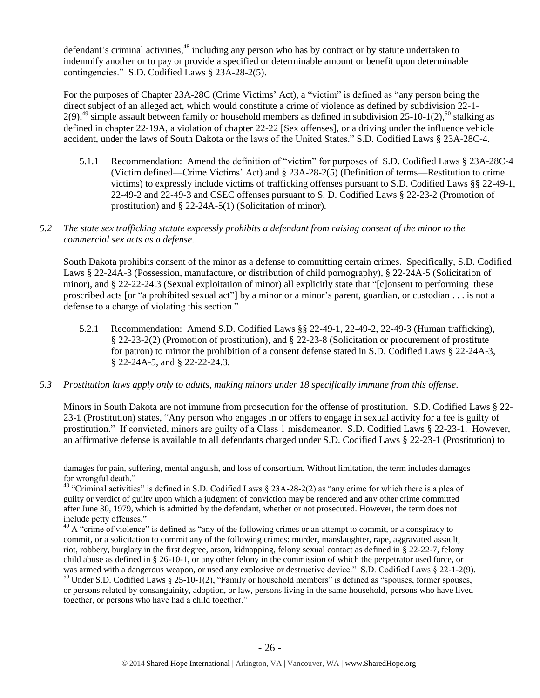defendant's criminal activities, <sup>48</sup> including any person who has by contract or by statute undertaken to indemnify another or to pay or provide a specified or determinable amount or benefit upon determinable contingencies." S.D. Codified Laws § 23A-28-2(5).

For the purposes of Chapter 23A-28C (Crime Victims' Act), a "victim" is defined as "any person being the direct subject of an alleged act, which would constitute a crime of violence as defined by subdivision 22-1-  $2(9)$ ,<sup>49</sup> simple assault between family or household members as defined in subdivision  $25$ -10-1(2),<sup>50</sup> stalking as defined in chapter 22-19A, a violation of chapter 22-22 [Sex offenses], or a driving under the influence vehicle accident, under the laws of South Dakota or the laws of the United States." S.D. Codified Laws § 23A-28C-4.

- 5.1.1 Recommendation: Amend the definition of "victim" for purposes of S.D. Codified Laws § 23A-28C-4 (Victim defined—Crime Victims' Act) and § 23A-28-2(5) (Definition of terms—Restitution to crime victims) to expressly include victims of trafficking offenses pursuant to S.D. Codified Laws §§ 22-49-1, 22-49-2 and 22-49-3 and CSEC offenses pursuant to S. D. Codified Laws § 22-23-2 (Promotion of prostitution) and § 22-24A-5(1) (Solicitation of minor).
- *5.2 The state sex trafficking statute expressly prohibits a defendant from raising consent of the minor to the commercial sex acts as a defense.*

South Dakota prohibits consent of the minor as a defense to committing certain crimes. Specifically, S.D. Codified Laws § 22-24A-3 (Possession, manufacture, or distribution of child pornography), § 22-24A-5 (Solicitation of minor), and § 22-22-24.3 (Sexual exploitation of minor) all explicitly state that "[c]onsent to performing these proscribed acts [or "a prohibited sexual act"] by a minor or a minor's parent, guardian, or custodian . . . is not a defense to a charge of violating this section."

- 5.2.1 Recommendation: Amend S.D. Codified Laws §§ 22-49-1, 22-49-2, 22-49-3 (Human trafficking), § 22-23-2(2) (Promotion of prostitution), and § 22-23-8 (Solicitation or procurement of prostitute for patron) to mirror the prohibition of a consent defense stated in S.D. Codified Laws § 22-24A-3, § 22-24A-5, and § 22-22-24.3.
- *5.3 Prostitution laws apply only to adults, making minors under 18 specifically immune from this offense.*

 $\overline{a}$ 

Minors in South Dakota are not immune from prosecution for the offense of prostitution. S.D. Codified Laws § 22- 23-1 (Prostitution) states, "Any person who engages in or offers to engage in sexual activity for a fee is guilty of prostitution." If convicted, minors are guilty of a Class 1 misdemeanor. S.D. Codified Laws § 22-23-1. However, an affirmative defense is available to all defendants charged under S.D. Codified Laws § 22-23-1 (Prostitution) to

damages for pain, suffering, mental anguish, and loss of consortium. Without limitation, the term includes damages for wrongful death."

<sup>&</sup>lt;sup>48</sup> "Criminal activities" is defined in S.D. Codified Laws § 23A-28-2(2) as "any crime for which there is a plea of guilty or verdict of guilty upon which a judgment of conviction may be rendered and any other crime committed after June 30, 1979, which is admitted by the defendant, whether or not prosecuted. However, the term does not include petty offenses."

 $^{49}$  A "crime of violence" is defined as "any of the following crimes or an attempt to commit, or a conspiracy to commit, or a solicitation to commit any of the following crimes: murder, manslaughter, rape, aggravated assault, riot, robbery, burglary in the first degree, arson, kidnapping, felony sexual contact as defined in § 22-22-7, felony child abuse as defined in § 26-10-1, or any other felony in the commission of which the perpetrator used force, or was armed with a dangerous weapon, or used any explosive or destructive device." S.D. Codified Laws § 22-1-2(9).

<sup>&</sup>lt;sup>50</sup> Under S.D. Codified Laws § 25-10-1(2), "Family or household members" is defined as "spouses, former spouses, or persons related by consanguinity, adoption, or law, persons living in the same household, persons who have lived together, or persons who have had a child together."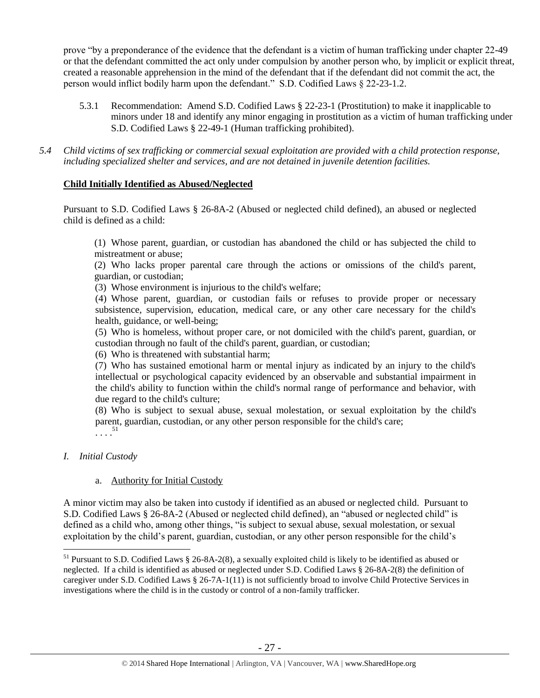prove "by a preponderance of the evidence that the defendant is a victim of human trafficking under chapter 22-49 or that the defendant committed the act only under compulsion by another person who, by implicit or explicit threat, created a reasonable apprehension in the mind of the defendant that if the defendant did not commit the act, the person would inflict bodily harm upon the defendant." S.D. Codified Laws § 22-23-1.2.

5.3.1 Recommendation: Amend S.D. Codified Laws § 22-23-1 (Prostitution) to make it inapplicable to minors under 18 and identify any minor engaging in prostitution as a victim of human trafficking under S.D. Codified Laws § 22-49-1 (Human trafficking prohibited).

*5.4 Child victims of sex trafficking or commercial sexual exploitation are provided with a child protection response, including specialized shelter and services, and are not detained in juvenile detention facilities.*

#### **Child Initially Identified as Abused/Neglected**

Pursuant to S.D. Codified Laws § 26-8A-2 (Abused or neglected child defined), an abused or neglected child is defined as a child:

(1) Whose parent, guardian, or custodian has abandoned the child or has subjected the child to mistreatment or abuse;

(2) Who lacks proper parental care through the actions or omissions of the child's parent, guardian, or custodian;

(3) Whose environment is injurious to the child's welfare;

(4) Whose parent, guardian, or custodian fails or refuses to provide proper or necessary subsistence, supervision, education, medical care, or any other care necessary for the child's health, guidance, or well-being;

(5) Who is homeless, without proper care, or not domiciled with the child's parent, guardian, or custodian through no fault of the child's parent, guardian, or custodian;

(6) Who is threatened with substantial harm;

(7) Who has sustained emotional harm or mental injury as indicated by an injury to the child's intellectual or psychological capacity evidenced by an observable and substantial impairment in the child's ability to function within the child's normal range of performance and behavior, with due regard to the child's culture;

(8) Who is subject to sexual abuse, sexual molestation, or sexual exploitation by the child's parent, guardian, custodian, or any other person responsible for the child's care;  $\begin{array}{c} \begin{array}{c} 51 \\ \end{array} \end{array}$ 

#### *I. Initial Custody*

 $\overline{a}$ 

#### a. Authority for Initial Custody

A minor victim may also be taken into custody if identified as an abused or neglected child. Pursuant to S.D. Codified Laws § 26-8A-2 (Abused or neglected child defined), an "abused or neglected child" is defined as a child who, among other things, "is subject to sexual abuse, sexual molestation, or sexual exploitation by the child's parent, guardian, custodian, or any other person responsible for the child's

<sup>51</sup> Pursuant to S.D. Codified Laws § 26-8A-2(8), a sexually exploited child is likely to be identified as abused or neglected. If a child is identified as abused or neglected under S.D. Codified Laws § 26-8A-2(8) the definition of caregiver under S.D. Codified Laws § 26-7A-1(11) is not sufficiently broad to involve Child Protective Services in investigations where the child is in the custody or control of a non-family trafficker.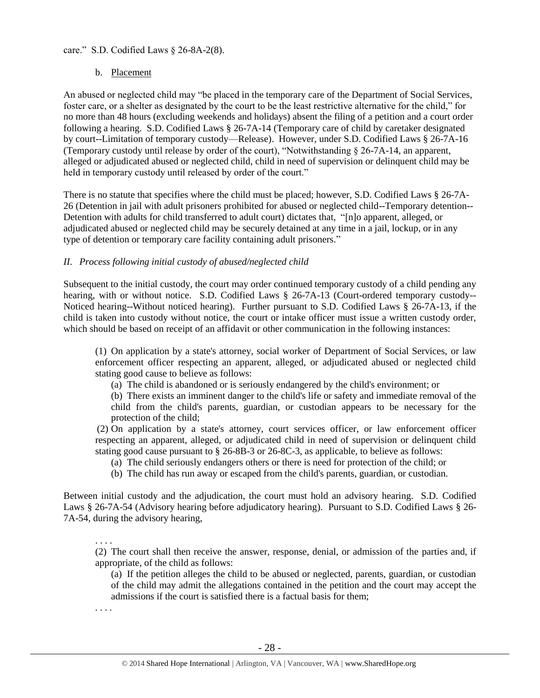#### care." S.D. Codified Laws § 26-8A-2(8).

#### b. Placement

An abused or neglected child may "be placed in the temporary care of the Department of Social Services, foster care, or a shelter as designated by the court to be the least restrictive alternative for the child," for no more than 48 hours (excluding weekends and holidays) absent the filing of a petition and a court order following a hearing. S.D. Codified Laws § 26-7A-14 (Temporary care of child by caretaker designated by court--Limitation of temporary custody—Release). However, under S.D. Codified Laws § 26-7A-16 (Temporary custody until release by order of the court), "Notwithstanding § 26-7A-14, an apparent, alleged or adjudicated abused or neglected child, child in need of supervision or delinquent child may be held in temporary custody until released by order of the court."

There is no statute that specifies where the child must be placed; however, S.D. Codified Laws § 26-7A-26 (Detention in jail with adult prisoners prohibited for abused or neglected child--Temporary detention-- Detention with adults for child transferred to adult court) dictates that, "[n]o apparent, alleged, or adjudicated abused or neglected child may be securely detained at any time in a jail, lockup, or in any type of detention or temporary care facility containing adult prisoners."

#### *II. Process following initial custody of abused/neglected child*

Subsequent to the initial custody, the court may order continued temporary custody of a child pending any hearing, with or without notice. S.D. Codified Laws § 26-7A-13 (Court-ordered temporary custody--Noticed hearing--Without noticed hearing). Further pursuant to S.D. Codified Laws § 26-7A-13, if the child is taken into custody without notice, the court or intake officer must issue a written custody order, which should be based on receipt of an affidavit or other communication in the following instances:

(1) On application by a state's attorney, social worker of Department of Social Services, or law enforcement officer respecting an apparent, alleged, or adjudicated abused or neglected child stating good cause to believe as follows:

- (a) The child is abandoned or is seriously endangered by the child's environment; or
- (b) There exists an imminent danger to the child's life or safety and immediate removal of the child from the child's parents, guardian, or custodian appears to be necessary for the protection of the child;

(2) On application by a state's attorney, court services officer, or law enforcement officer respecting an apparent, alleged, or adjudicated child in need of supervision or delinquent child stating good cause pursuant to § 26-8B-3 or 26-8C-3, as applicable, to believe as follows:

- (a) The child seriously endangers others or there is need for protection of the child; or
- (b) The child has run away or escaped from the child's parents, guardian, or custodian.

Between initial custody and the adjudication, the court must hold an advisory hearing. S.D. Codified Laws § 26-7A-54 (Advisory hearing before adjudicatory hearing). Pursuant to S.D. Codified Laws § 26- 7A-54, during the advisory hearing,

. . . . (2) The court shall then receive the answer, response, denial, or admission of the parties and, if appropriate, of the child as follows:

 (a) If the petition alleges the child to be abused or neglected, parents, guardian, or custodian of the child may admit the allegations contained in the petition and the court may accept the admissions if the court is satisfied there is a factual basis for them;

. . . .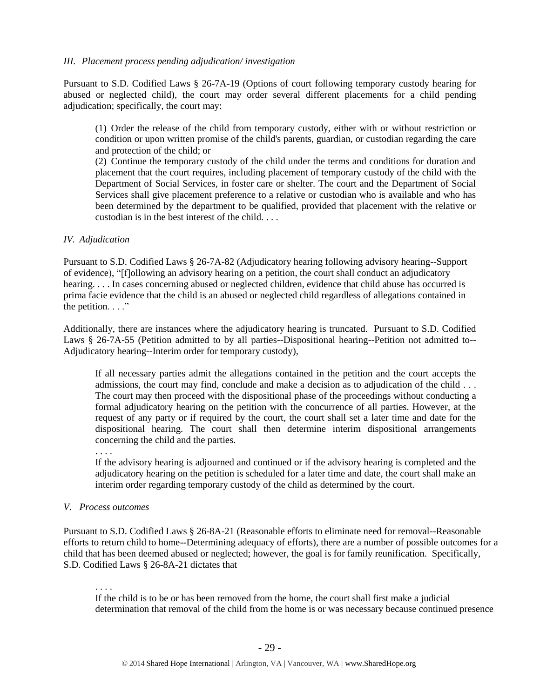#### *III. Placement process pending adjudication/ investigation*

Pursuant to S.D. Codified Laws § 26-7A-19 (Options of court following temporary custody hearing for abused or neglected child), the court may order several different placements for a child pending adjudication; specifically, the court may:

(1) Order the release of the child from temporary custody, either with or without restriction or condition or upon written promise of the child's parents, guardian, or custodian regarding the care and protection of the child; or

(2) Continue the temporary custody of the child under the terms and conditions for duration and placement that the court requires, including placement of temporary custody of the child with the Department of Social Services, in foster care or shelter. The court and the Department of Social Services shall give placement preference to a relative or custodian who is available and who has been determined by the department to be qualified, provided that placement with the relative or custodian is in the best interest of the child. . . .

#### *IV. Adjudication*

Pursuant to S.D. Codified Laws § 26-7A-82 (Adjudicatory hearing following advisory hearing--Support of evidence), "[f]ollowing an advisory hearing on a petition, the court shall conduct an adjudicatory hearing. . . . In cases concerning abused or neglected children, evidence that child abuse has occurred is prima facie evidence that the child is an abused or neglected child regardless of allegations contained in the petition.  $\ldots$ ."

Additionally, there are instances where the adjudicatory hearing is truncated. Pursuant to S.D. Codified Laws § 26-7A-55 (Petition admitted to by all parties--Dispositional hearing--Petition not admitted to-- Adjudicatory hearing--Interim order for temporary custody),

If all necessary parties admit the allegations contained in the petition and the court accepts the admissions, the court may find, conclude and make a decision as to adjudication of the child . . . The court may then proceed with the dispositional phase of the proceedings without conducting a formal adjudicatory hearing on the petition with the concurrence of all parties. However, at the request of any party or if required by the court, the court shall set a later time and date for the dispositional hearing. The court shall then determine interim dispositional arrangements concerning the child and the parties.

. . . .

If the advisory hearing is adjourned and continued or if the advisory hearing is completed and the adjudicatory hearing on the petition is scheduled for a later time and date, the court shall make an interim order regarding temporary custody of the child as determined by the court.

#### *V. Process outcomes*

Pursuant to S.D. Codified Laws § 26-8A-21 (Reasonable efforts to eliminate need for removal--Reasonable efforts to return child to home--Determining adequacy of efforts), there are a number of possible outcomes for a child that has been deemed abused or neglected; however, the goal is for family reunification. Specifically, S.D. Codified Laws § 26-8A-21 dictates that

. . . .

If the child is to be or has been removed from the home, the court shall first make a judicial determination that removal of the child from the home is or was necessary because continued presence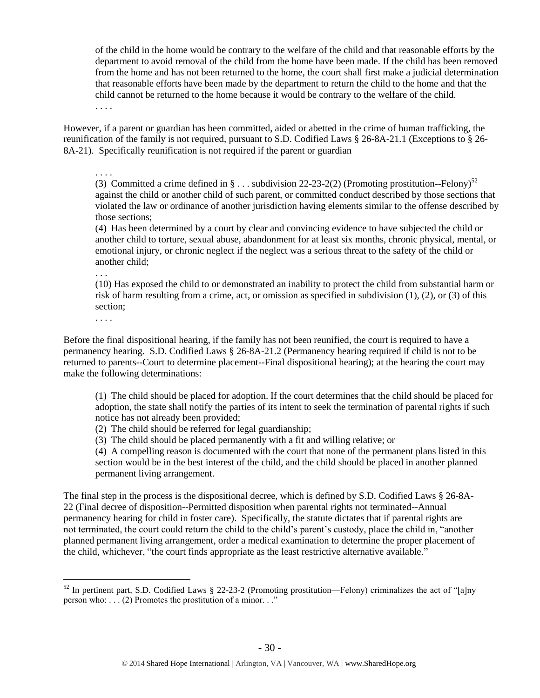of the child in the home would be contrary to the welfare of the child and that reasonable efforts by the department to avoid removal of the child from the home have been made. If the child has been removed from the home and has not been returned to the home, the court shall first make a judicial determination that reasonable efforts have been made by the department to return the child to the home and that the child cannot be returned to the home because it would be contrary to the welfare of the child. . . . .

However, if a parent or guardian has been committed, aided or abetted in the crime of human trafficking, the reunification of the family is not required, pursuant to S.D. Codified Laws § 26-8A-21.1 (Exceptions to § 26- 8A-21). Specifically reunification is not required if the parent or guardian

. . . .

(3) Committed a crime defined in  $\S...$  subdivision 22-23-2(2) (Promoting prostitution--Felony)<sup>52</sup> against the child or another child of such parent, or committed conduct described by those sections that violated the law or ordinance of another jurisdiction having elements similar to the offense described by those sections;

(4) Has been determined by a court by clear and convincing evidence to have subjected the child or another child to torture, sexual abuse, abandonment for at least six months, chronic physical, mental, or emotional injury, or chronic neglect if the neglect was a serious threat to the safety of the child or another child;

(10) Has exposed the child to or demonstrated an inability to protect the child from substantial harm or risk of harm resulting from a crime, act, or omission as specified in subdivision (1), (2), or (3) of this section;

. . . .

 $\overline{a}$ 

. . .

Before the final dispositional hearing, if the family has not been reunified, the court is required to have a permanency hearing. S.D. Codified Laws § 26-8A-21.2 (Permanency hearing required if child is not to be returned to parents--Court to determine placement--Final dispositional hearing); at the hearing the court may make the following determinations:

(1) The child should be placed for adoption. If the court determines that the child should be placed for adoption, the state shall notify the parties of its intent to seek the termination of parental rights if such notice has not already been provided;

(2) The child should be referred for legal guardianship;

(3) The child should be placed permanently with a fit and willing relative; or

(4) A compelling reason is documented with the court that none of the permanent plans listed in this section would be in the best interest of the child, and the child should be placed in another planned permanent living arrangement.

The final step in the process is the dispositional decree, which is defined by S.D. Codified Laws § 26-8A-22 (Final decree of disposition--Permitted disposition when parental rights not terminated--Annual permanency hearing for child in foster care). Specifically, the statute dictates that if parental rights are not terminated, the court could return the child to the child's parent's custody, place the child in, "another planned permanent living arrangement, order a medical examination to determine the proper placement of the child, whichever, "the court finds appropriate as the least restrictive alternative available."

 $52$  In pertinent part, S.D. Codified Laws § 22-23-2 (Promoting prostitution—Felony) criminalizes the act of "[a]ny person who:  $\ldots$  (2) Promotes the prostitution of a minor. . ."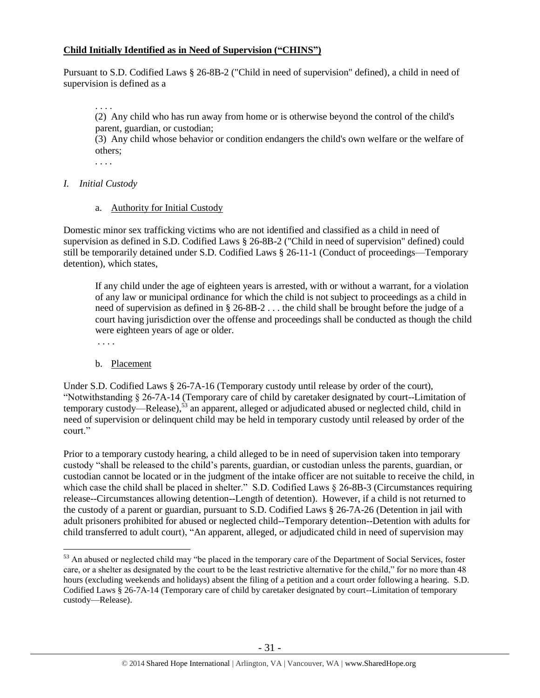#### **Child Initially Identified as in Need of Supervision ("CHINS")**

Pursuant to S.D. Codified Laws § 26-8B-2 ("Child in need of supervision" defined), a child in need of supervision is defined as a

 . . . . (2) Any child who has run away from home or is otherwise beyond the control of the child's parent, guardian, or custodian;

 (3) Any child whose behavior or condition endangers the child's own welfare or the welfare of others;

. . . .

*I. Initial Custody*

#### a. Authority for Initial Custody

Domestic minor sex trafficking victims who are not identified and classified as a child in need of supervision as defined in S.D. Codified Laws § 26-8B-2 ("Child in need of supervision" defined) could still be temporarily detained under S.D. Codified Laws § 26-11-1 (Conduct of proceedings—Temporary detention), which states,

If any child under the age of eighteen years is arrested, with or without a warrant, for a violation of any law or municipal ordinance for which the child is not subject to proceedings as a child in need of supervision as defined in § 26-8B-2 . . . the child shall be brought before the judge of a court having jurisdiction over the offense and proceedings shall be conducted as though the child were eighteen years of age or older.

. . . .

 $\overline{a}$ 

## b. Placement

Under S.D. Codified Laws § 26-7A-16 (Temporary custody until release by order of the court), "Notwithstanding § 26-7A-14 (Temporary care of child by caretaker designated by court--Limitation of temporary custody—Release),<sup>53</sup> an apparent, alleged or adjudicated abused or neglected child, child in need of supervision or delinquent child may be held in temporary custody until released by order of the court."

Prior to a temporary custody hearing, a child alleged to be in need of supervision taken into temporary custody "shall be released to the child's parents, guardian, or custodian unless the parents, guardian, or custodian cannot be located or in the judgment of the intake officer are not suitable to receive the child, in which case the child shall be placed in shelter." S.D. Codified Laws § 26-8B-3 (Circumstances requiring release--Circumstances allowing detention--Length of detention). However, if a child is not returned to the custody of a parent or guardian, pursuant to S.D. Codified Laws § 26-7A-26 (Detention in jail with adult prisoners prohibited for abused or neglected child--Temporary detention--Detention with adults for child transferred to adult court), "An apparent, alleged, or adjudicated child in need of supervision may

<sup>&</sup>lt;sup>53</sup> An abused or neglected child may "be placed in the temporary care of the Department of Social Services, foster care, or a shelter as designated by the court to be the least restrictive alternative for the child," for no more than 48 hours (excluding weekends and holidays) absent the filing of a petition and a court order following a hearing. S.D. Codified Laws § 26-7A-14 (Temporary care of child by caretaker designated by court--Limitation of temporary custody—Release).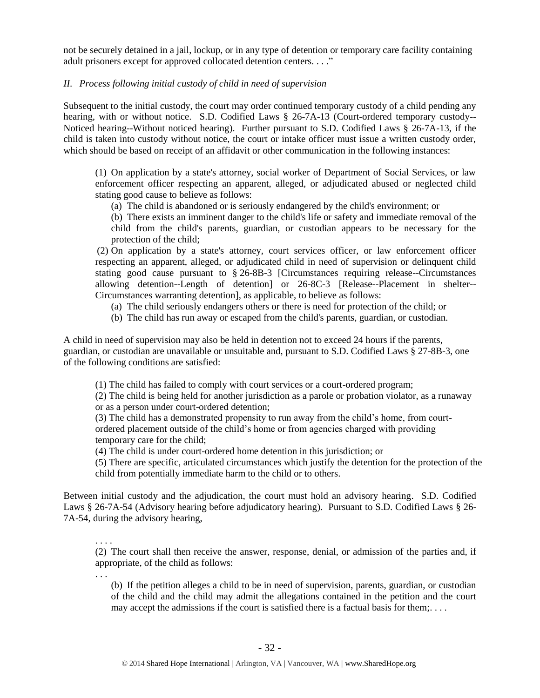not be securely detained in a jail, lockup, or in any type of detention or temporary care facility containing adult prisoners except for approved collocated detention centers. . . ."

#### *II. Process following initial custody of child in need of supervision*

Subsequent to the initial custody, the court may order continued temporary custody of a child pending any hearing, with or without notice. S.D. Codified Laws § 26-7A-13 (Court-ordered temporary custody--Noticed hearing--Without noticed hearing). Further pursuant to S.D. Codified Laws § 26-7A-13, if the child is taken into custody without notice, the court or intake officer must issue a written custody order, which should be based on receipt of an affidavit or other communication in the following instances:

(1) On application by a state's attorney, social worker of Department of Social Services, or law enforcement officer respecting an apparent, alleged, or adjudicated abused or neglected child stating good cause to believe as follows:

(a) The child is abandoned or is seriously endangered by the child's environment; or

(b) There exists an imminent danger to the child's life or safety and immediate removal of the child from the child's parents, guardian, or custodian appears to be necessary for the protection of the child;

(2) On application by a state's attorney, court services officer, or law enforcement officer respecting an apparent, alleged, or adjudicated child in need of supervision or delinquent child stating good cause pursuant to § 26-8B-3 [Circumstances requiring release--Circumstances allowing detention--Length of detention] or 26-8C-3 [Release--Placement in shelter-- Circumstances warranting detention], as applicable, to believe as follows:

- (a) The child seriously endangers others or there is need for protection of the child; or
- (b) The child has run away or escaped from the child's parents, guardian, or custodian.

A child in need of supervision may also be held in detention not to exceed 24 hours if the parents, guardian, or custodian are unavailable or unsuitable and, pursuant to S.D. Codified Laws § 27-8B-3, one of the following conditions are satisfied:

(1) The child has failed to comply with court services or a court-ordered program;

(2) The child is being held for another jurisdiction as a parole or probation violator, as a runaway or as a person under court-ordered detention;

(3) The child has a demonstrated propensity to run away from the child's home, from courtordered placement outside of the child's home or from agencies charged with providing temporary care for the child;

(4) The child is under court-ordered home detention in this jurisdiction; or

(5) There are specific, articulated circumstances which justify the detention for the protection of the child from potentially immediate harm to the child or to others.

Between initial custody and the adjudication, the court must hold an advisory hearing. S.D. Codified Laws § 26-7A-54 (Advisory hearing before adjudicatory hearing). Pursuant to S.D. Codified Laws § 26- 7A-54, during the advisory hearing,

. . . . (2) The court shall then receive the answer, response, denial, or admission of the parties and, if appropriate, of the child as follows:

. . .

(b) If the petition alleges a child to be in need of supervision, parents, guardian, or custodian of the child and the child may admit the allegations contained in the petition and the court may accept the admissions if the court is satisfied there is a factual basis for them;...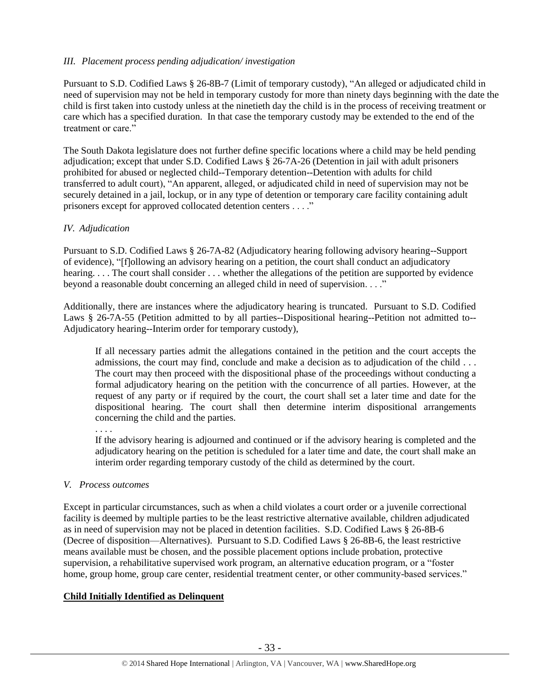## *III. Placement process pending adjudication/ investigation*

Pursuant to S.D. Codified Laws § 26-8B-7 (Limit of temporary custody), "An alleged or adjudicated child in need of supervision may not be held in temporary custody for more than ninety days beginning with the date the child is first taken into custody unless at the ninetieth day the child is in the process of receiving treatment or care which has a specified duration. In that case the temporary custody may be extended to the end of the treatment or care."

The South Dakota legislature does not further define specific locations where a child may be held pending adjudication; except that under S.D. Codified Laws § 26-7A-26 (Detention in jail with adult prisoners prohibited for abused or neglected child--Temporary detention--Detention with adults for child transferred to adult court), "An apparent, alleged, or adjudicated child in need of supervision may not be securely detained in a jail, lockup, or in any type of detention or temporary care facility containing adult prisoners except for approved collocated detention centers . . . ."

#### *IV. Adjudication*

Pursuant to S.D. Codified Laws § 26-7A-82 (Adjudicatory hearing following advisory hearing--Support of evidence), "[f]ollowing an advisory hearing on a petition, the court shall conduct an adjudicatory hearing. . . . The court shall consider . . . whether the allegations of the petition are supported by evidence beyond a reasonable doubt concerning an alleged child in need of supervision. . . ."

Additionally, there are instances where the adjudicatory hearing is truncated. Pursuant to S.D. Codified Laws § 26-7A-55 (Petition admitted to by all parties--Dispositional hearing--Petition not admitted to-- Adjudicatory hearing--Interim order for temporary custody),

If all necessary parties admit the allegations contained in the petition and the court accepts the admissions, the court may find, conclude and make a decision as to adjudication of the child . . . The court may then proceed with the dispositional phase of the proceedings without conducting a formal adjudicatory hearing on the petition with the concurrence of all parties. However, at the request of any party or if required by the court, the court shall set a later time and date for the dispositional hearing. The court shall then determine interim dispositional arrangements concerning the child and the parties.

. . . .

If the advisory hearing is adjourned and continued or if the advisory hearing is completed and the adjudicatory hearing on the petition is scheduled for a later time and date, the court shall make an interim order regarding temporary custody of the child as determined by the court.

#### *V. Process outcomes*

Except in particular circumstances, such as when a child violates a court order or a juvenile correctional facility is deemed by multiple parties to be the least restrictive alternative available, children adjudicated as in need of supervision may not be placed in detention facilities. S.D. Codified Laws § 26-8B-6 (Decree of disposition—Alternatives). Pursuant to S.D. Codified Laws § 26-8B-6, the least restrictive means available must be chosen, and the possible placement options include probation, protective supervision, a rehabilitative supervised work program, an alternative education program, or a "foster home, group home, group care center, residential treatment center, or other community-based services."

#### **Child Initially Identified as Delinquent**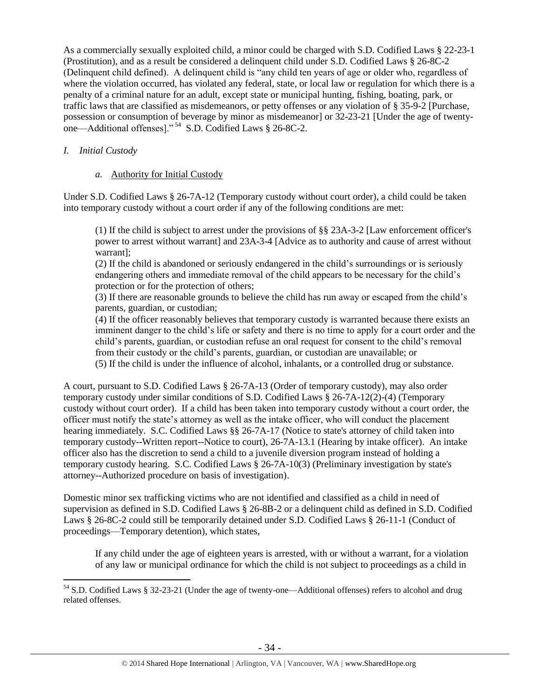As a commercially sexually exploited child, a minor could be charged with S.D. Codified Laws § 22-23-1 (Prostitution), and as a result be considered a delinquent child under S.D. Codified Laws § 26-8C-2 (Delinquent child defined). A delinquent child is "any child ten years of age or older who, regardless of where the violation occurred, has violated any federal, state, or local law or regulation for which there is a penalty of a criminal nature for an adult, except state or municipal hunting, fishing, boating, park, or traffic laws that are classified as misdemeanors, or petty offenses or any violation of § 35-9-2 [Purchase, possession or consumption of beverage by minor as misdemeanor] or 32-23-21 [Under the age of twentyone—Additional offenses]." <sup>54</sup> S.D. Codified Laws § 26-8C-2.

## *I. Initial Custody*

 $\overline{a}$ 

#### *a.* Authority for Initial Custody

Under S.D. Codified Laws § 26-7A-12 (Temporary custody without court order), a child could be taken into temporary custody without a court order if any of the following conditions are met:

(1) If the child is subject to arrest under the provisions of §§ 23A-3-2 [Law enforcement officer's power to arrest without warrant] and 23A-3-4 [Advice as to authority and cause of arrest without warrant];

(2) If the child is abandoned or seriously endangered in the child's surroundings or is seriously endangering others and immediate removal of the child appears to be necessary for the child's protection or for the protection of others;

(3) If there are reasonable grounds to believe the child has run away or escaped from the child's parents, guardian, or custodian;

(4) If the officer reasonably believes that temporary custody is warranted because there exists an imminent danger to the child's life or safety and there is no time to apply for a court order and the child's parents, guardian, or custodian refuse an oral request for consent to the child's removal from their custody or the child's parents, guardian, or custodian are unavailable; or (5) If the child is under the influence of alcohol, inhalants, or a controlled drug or substance.

A court, pursuant to S.D. Codified Laws § 26-7A-13 (Order of temporary custody), may also order temporary custody under similar conditions of S.D. Codified Laws § 26-7A-12(2)-(4) (Temporary custody without court order). If a child has been taken into temporary custody without a court order, the officer must notify the state's attorney as well as the intake officer, who will conduct the placement hearing immediately. S.C. Codified Laws §§ 26-7A-17 (Notice to state's attorney of child taken into temporary custody--Written report--Notice to court), 26-7A-13.1 (Hearing by intake officer). An intake officer also has the discretion to send a child to a juvenile diversion program instead of holding a temporary custody hearing. S.C. Codified Laws § 26-7A-10(3) (Preliminary investigation by state's attorney--Authorized procedure on basis of investigation).

Domestic minor sex trafficking victims who are not identified and classified as a child in need of supervision as defined in S.D. Codified Laws § 26-8B-2 or a delinquent child as defined in S.D. Codified Laws § 26-8C-2 could still be temporarily detained under S.D. Codified Laws § 26-11-1 (Conduct of proceedings—Temporary detention), which states,

If any child under the age of eighteen years is arrested, with or without a warrant, for a violation of any law or municipal ordinance for which the child is not subject to proceedings as a child in

<sup>54</sup> S.D. Codified Laws § 32-23-21 (Under the age of twenty-one—Additional offenses) refers to alcohol and drug related offenses.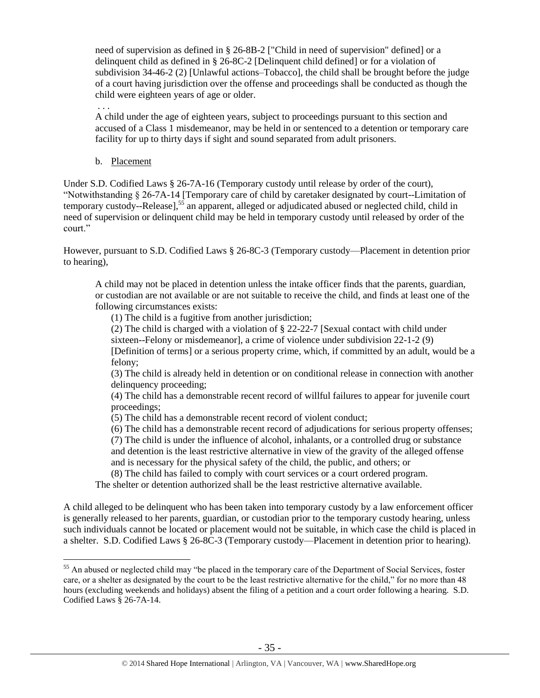need of supervision as defined in § 26-8B-2 ["Child in need of supervision" defined] or a delinquent child as defined in § 26-8C-2 [Delinquent child defined] or for a violation of subdivision 34-46-2 (2) [Unlawful actions–Tobacco], the child shall be brought before the judge of a court having jurisdiction over the offense and proceedings shall be conducted as though the child were eighteen years of age or older.

A child under the age of eighteen years, subject to proceedings pursuant to this section and accused of a Class 1 misdemeanor, may be held in or sentenced to a detention or temporary care facility for up to thirty days if sight and sound separated from adult prisoners.

b. Placement

. . .

 $\overline{a}$ 

Under S.D. Codified Laws § 26-7A-16 (Temporary custody until release by order of the court), "Notwithstanding § 26-7A-14 [Temporary care of child by caretaker designated by court--Limitation of temporary custody--Release], <sup>55</sup> an apparent, alleged or adjudicated abused or neglected child, child in need of supervision or delinquent child may be held in temporary custody until released by order of the court."

However, pursuant to S.D. Codified Laws § 26-8C-3 (Temporary custody—Placement in detention prior to hearing),

A child may not be placed in detention unless the intake officer finds that the parents, guardian, or custodian are not available or are not suitable to receive the child, and finds at least one of the following circumstances exists:

(1) The child is a fugitive from another jurisdiction;

(2) The child is charged with a violation of § 22-22-7 [Sexual contact with child under

sixteen--Felony or misdemeanor], a crime of violence under subdivision 22-1-2 (9)

[Definition of terms] or a serious property crime, which, if committed by an adult, would be a felony;

(3) The child is already held in detention or on conditional release in connection with another delinquency proceeding;

(4) The child has a demonstrable recent record of willful failures to appear for juvenile court proceedings;

(5) The child has a demonstrable recent record of violent conduct;

(6) The child has a demonstrable recent record of adjudications for serious property offenses;

(7) The child is under the influence of alcohol, inhalants, or a controlled drug or substance and detention is the least restrictive alternative in view of the gravity of the alleged offense and is necessary for the physical safety of the child, the public, and others; or

(8) The child has failed to comply with court services or a court ordered program.

The shelter or detention authorized shall be the least restrictive alternative available.

A child alleged to be delinquent who has been taken into temporary custody by a law enforcement officer is generally released to her parents, guardian, or custodian prior to the temporary custody hearing, unless such individuals cannot be located or placement would not be suitable, in which case the child is placed in a shelter. S.D. Codified Laws § 26-8C-3 (Temporary custody—Placement in detention prior to hearing).

<sup>&</sup>lt;sup>55</sup> An abused or neglected child may "be placed in the temporary care of the Department of Social Services, foster care, or a shelter as designated by the court to be the least restrictive alternative for the child," for no more than 48 hours (excluding weekends and holidays) absent the filing of a petition and a court order following a hearing. S.D. Codified Laws § 26-7A-14.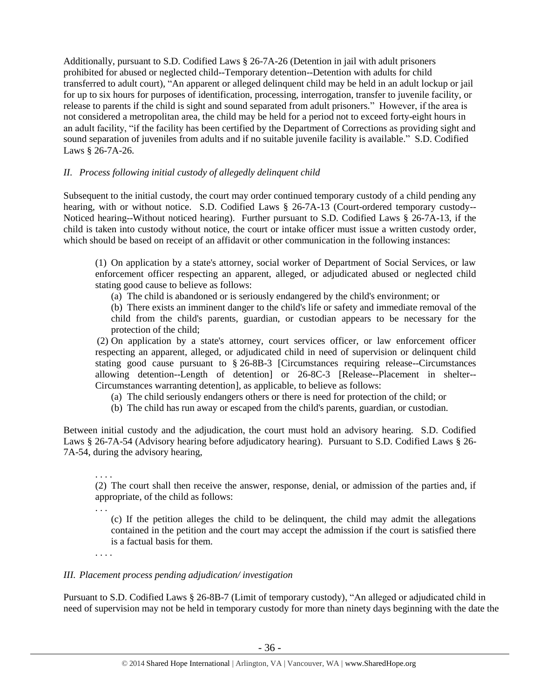Additionally, pursuant to S.D. Codified Laws § 26-7A-26 (Detention in jail with adult prisoners prohibited for abused or neglected child--Temporary detention--Detention with adults for child transferred to adult court), "An apparent or alleged delinquent child may be held in an adult lockup or jail for up to six hours for purposes of identification, processing, interrogation, transfer to juvenile facility, or release to parents if the child is sight and sound separated from adult prisoners." However, if the area is not considered a metropolitan area, the child may be held for a period not to exceed forty-eight hours in an adult facility, "if the facility has been certified by the Department of Corrections as providing sight and sound separation of juveniles from adults and if no suitable juvenile facility is available." S.D. Codified Laws § 26-7A-26.

## *II. Process following initial custody of allegedly delinquent child*

Subsequent to the initial custody, the court may order continued temporary custody of a child pending any hearing, with or without notice. S.D. Codified Laws § 26-7A-13 (Court-ordered temporary custody--Noticed hearing--Without noticed hearing). Further pursuant to S.D. Codified Laws § 26-7A-13, if the child is taken into custody without notice, the court or intake officer must issue a written custody order, which should be based on receipt of an affidavit or other communication in the following instances:

(1) On application by a state's attorney, social worker of Department of Social Services, or law enforcement officer respecting an apparent, alleged, or adjudicated abused or neglected child stating good cause to believe as follows:

(a) The child is abandoned or is seriously endangered by the child's environment; or

(b) There exists an imminent danger to the child's life or safety and immediate removal of the child from the child's parents, guardian, or custodian appears to be necessary for the protection of the child;

(2) On application by a state's attorney, court services officer, or law enforcement officer respecting an apparent, alleged, or adjudicated child in need of supervision or delinquent child stating good cause pursuant to § 26-8B-3 [Circumstances requiring release--Circumstances allowing detention--Length of detention] or 26-8C-3 [Release--Placement in shelter-- Circumstances warranting detention], as applicable, to believe as follows:

- (a) The child seriously endangers others or there is need for protection of the child; or
- (b) The child has run away or escaped from the child's parents, guardian, or custodian.

Between initial custody and the adjudication, the court must hold an advisory hearing. S.D. Codified Laws § 26-7A-54 (Advisory hearing before adjudicatory hearing). Pursuant to S.D. Codified Laws § 26- 7A-54, during the advisory hearing,

. . . . (2) The court shall then receive the answer, response, denial, or admission of the parties and, if appropriate, of the child as follows:

. . .

(c) If the petition alleges the child to be delinquent, the child may admit the allegations contained in the petition and the court may accept the admission if the court is satisfied there is a factual basis for them.

. . . .

## *III. Placement process pending adjudication/ investigation*

Pursuant to S.D. Codified Laws § 26-8B-7 (Limit of temporary custody), "An alleged or adjudicated child in need of supervision may not be held in temporary custody for more than ninety days beginning with the date the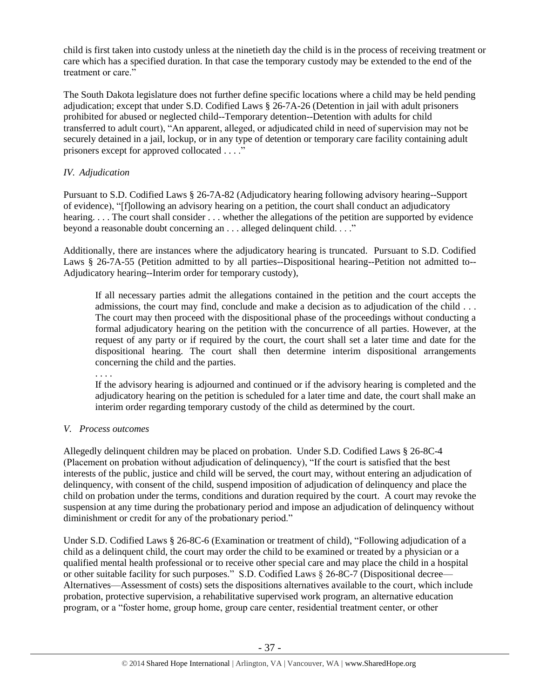child is first taken into custody unless at the ninetieth day the child is in the process of receiving treatment or care which has a specified duration. In that case the temporary custody may be extended to the end of the treatment or care."

The South Dakota legislature does not further define specific locations where a child may be held pending adjudication; except that under S.D. Codified Laws § 26-7A-26 (Detention in jail with adult prisoners prohibited for abused or neglected child--Temporary detention--Detention with adults for child transferred to adult court), "An apparent, alleged, or adjudicated child in need of supervision may not be securely detained in a jail, lockup, or in any type of detention or temporary care facility containing adult prisoners except for approved collocated . . . ."

## *IV. Adjudication*

Pursuant to S.D. Codified Laws § 26-7A-82 (Adjudicatory hearing following advisory hearing--Support of evidence), "[f]ollowing an advisory hearing on a petition, the court shall conduct an adjudicatory hearing. . . . The court shall consider . . . whether the allegations of the petition are supported by evidence beyond a reasonable doubt concerning an . . . alleged delinquent child. . . ."

Additionally, there are instances where the adjudicatory hearing is truncated. Pursuant to S.D. Codified Laws § 26-7A-55 (Petition admitted to by all parties--Dispositional hearing--Petition not admitted to--Adjudicatory hearing--Interim order for temporary custody),

If all necessary parties admit the allegations contained in the petition and the court accepts the admissions, the court may find, conclude and make a decision as to adjudication of the child . . . The court may then proceed with the dispositional phase of the proceedings without conducting a formal adjudicatory hearing on the petition with the concurrence of all parties. However, at the request of any party or if required by the court, the court shall set a later time and date for the dispositional hearing. The court shall then determine interim dispositional arrangements concerning the child and the parties.

. . . . If the advisory hearing is adjourned and continued or if the advisory hearing is completed and the adjudicatory hearing on the petition is scheduled for a later time and date, the court shall make an interim order regarding temporary custody of the child as determined by the court.

## *V. Process outcomes*

Allegedly delinquent children may be placed on probation. Under S.D. Codified Laws § 26-8C-4 (Placement on probation without adjudication of delinquency), "If the court is satisfied that the best interests of the public, justice and child will be served, the court may, without entering an adjudication of delinquency, with consent of the child, suspend imposition of adjudication of delinquency and place the child on probation under the terms, conditions and duration required by the court. A court may revoke the suspension at any time during the probationary period and impose an adjudication of delinquency without diminishment or credit for any of the probationary period."

Under S.D. Codified Laws § 26-8C-6 (Examination or treatment of child), "Following adjudication of a child as a delinquent child, the court may order the child to be examined or treated by a physician or a qualified mental health professional or to receive other special care and may place the child in a hospital or other suitable facility for such purposes." S.D. Codified Laws § 26-8C-7 (Dispositional decree— Alternatives—Assessment of costs) sets the dispositions alternatives available to the court, which include probation, protective supervision, a rehabilitative supervised work program, an alternative education program, or a "foster home, group home, group care center, residential treatment center, or other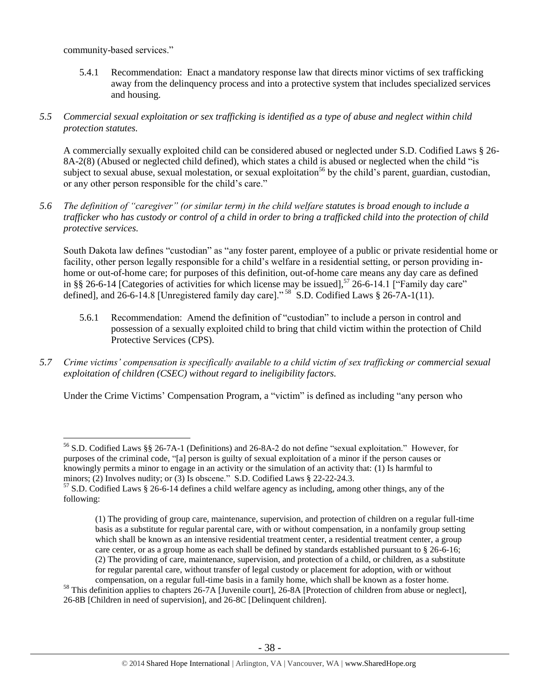community-based services."

 $\overline{a}$ 

5.4.1 Recommendation: Enact a mandatory response law that directs minor victims of sex trafficking away from the delinquency process and into a protective system that includes specialized services and housing.

## *5.5 Commercial sexual exploitation or sex trafficking is identified as a type of abuse and neglect within child protection statutes.*

A commercially sexually exploited child can be considered abused or neglected under S.D. Codified Laws § 26- 8A-2(8) (Abused or neglected child defined), which states a child is abused or neglected when the child "is subject to sexual abuse, sexual molestation, or sexual exploitation<sup>56</sup> by the child's parent, guardian, custodian, or any other person responsible for the child's care."

*5.6 The definition of "caregiver" (or similar term) in the child welfare statutes is broad enough to include a trafficker who has custody or control of a child in order to bring a trafficked child into the protection of child protective services.*

South Dakota law defines "custodian" as "any foster parent, employee of a public or private residential home or facility, other person legally responsible for a child's welfare in a residential setting, or person providing inhome or out-of-home care; for purposes of this definition, out-of-home care means any day care as defined in §§ 26-6-14 [Categories of activities for which license may be issued],<sup>57</sup> 26-6-14.1 ["Family day care" defined], and 26-6-14.8 [Unregistered family day care]."<sup>58</sup> S.D. Codified Laws § 26-7A-1(11).

- 5.6.1 Recommendation: Amend the definition of "custodian" to include a person in control and possession of a sexually exploited child to bring that child victim within the protection of Child Protective Services (CPS).
- *5.7 Crime victims' compensation is specifically available to a child victim of sex trafficking or commercial sexual exploitation of children (CSEC) without regard to ineligibility factors.*

Under the Crime Victims' Compensation Program, a "victim" is defined as including "any person who

<sup>56</sup> S.D. Codified Laws §§ 26-7A-1 (Definitions) and 26-8A-2 do not define "sexual exploitation." However, for purposes of the criminal code, "[a] person is guilty of sexual exploitation of a minor if the person causes or knowingly permits a minor to engage in an activity or the simulation of an activity that: (1) Is harmful to minors; (2) Involves nudity; or (3) Is obscene." S.D. Codified Laws § 22-22-24.3.

<sup>57</sup> S.D. Codified Laws § 26-6-14 defines a child welfare agency as including, among other things, any of the following:

<sup>(1)</sup> The providing of group care, maintenance, supervision, and protection of children on a regular full-time basis as a substitute for regular parental care, with or without compensation, in a nonfamily group setting which shall be known as an intensive residential treatment center, a residential treatment center, a group care center, or as a group home as each shall be defined by standards established pursuant to § 26-6-16; (2) The providing of care, maintenance, supervision, and protection of a child, or children, as a substitute for regular parental care, without transfer of legal custody or placement for adoption, with or without compensation, on a regular full-time basis in a family home, which shall be known as a foster home.

 $<sup>58</sup>$  This definition applies to chapters 26-7A [Juvenile court], 26-8A [Protection of children from abuse or neglect],</sup> 26-8B [Children in need of supervision], and 26-8C [Delinquent children].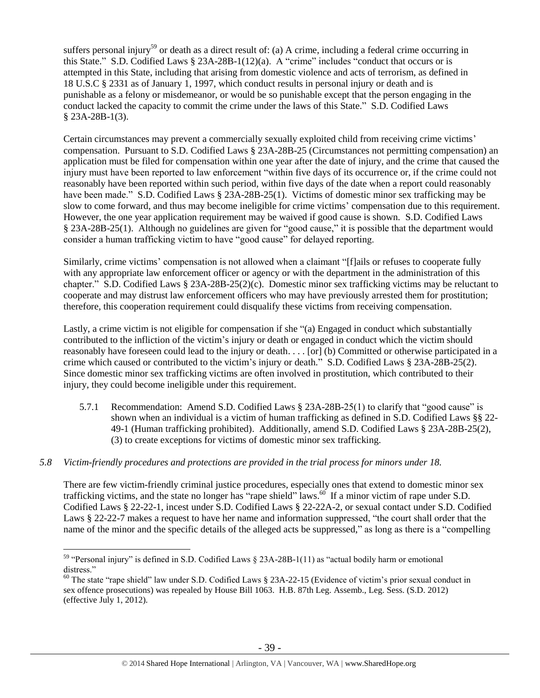suffers personal injury<sup>59</sup> or death as a direct result of: (a) A crime, including a federal crime occurring in this State." S.D. Codified Laws § 23A-28B-1(12)(a). A "crime" includes "conduct that occurs or is attempted in this State, including that arising from domestic violence and acts of terrorism, as defined in 18 U.S.C § 2331 as of January 1, 1997, which conduct results in personal injury or death and is punishable as a felony or misdemeanor, or would be so punishable except that the person engaging in the conduct lacked the capacity to commit the crime under the laws of this State." S.D. Codified Laws § 23A-28B-1(3).

Certain circumstances may prevent a commercially sexually exploited child from receiving crime victims' compensation. Pursuant to S.D. Codified Laws § 23A-28B-25 (Circumstances not permitting compensation) an application must be filed for compensation within one year after the date of injury, and the crime that caused the injury must have been reported to law enforcement "within five days of its occurrence or, if the crime could not reasonably have been reported within such period, within five days of the date when a report could reasonably have been made." S.D. Codified Laws § 23A-28B-25(1). Victims of domestic minor sex trafficking may be slow to come forward, and thus may become ineligible for crime victims' compensation due to this requirement. However, the one year application requirement may be waived if good cause is shown. S.D. Codified Laws § 23A-28B-25(1). Although no guidelines are given for "good cause," it is possible that the department would consider a human trafficking victim to have "good cause" for delayed reporting.

Similarly, crime victims' compensation is not allowed when a claimant "[f]ails or refuses to cooperate fully with any appropriate law enforcement officer or agency or with the department in the administration of this chapter." S.D. Codified Laws § 23A-28B-25(2)(c). Domestic minor sex trafficking victims may be reluctant to cooperate and may distrust law enforcement officers who may have previously arrested them for prostitution; therefore, this cooperation requirement could disqualify these victims from receiving compensation.

Lastly, a crime victim is not eligible for compensation if she "(a) Engaged in conduct which substantially contributed to the infliction of the victim's injury or death or engaged in conduct which the victim should reasonably have foreseen could lead to the injury or death. . . . [or] (b) Committed or otherwise participated in a crime which caused or contributed to the victim's injury or death." S.D. Codified Laws § 23A-28B-25(2). Since domestic minor sex trafficking victims are often involved in prostitution, which contributed to their injury, they could become ineligible under this requirement.

5.7.1 Recommendation: Amend S.D. Codified Laws § 23A-28B-25(1) to clarify that "good cause" is shown when an individual is a victim of human trafficking as defined in S.D. Codified Laws §§ 22- 49-1 (Human trafficking prohibited). Additionally, amend S.D. Codified Laws § 23A-28B-25(2), (3) to create exceptions for victims of domestic minor sex trafficking.

## *5.8 Victim-friendly procedures and protections are provided in the trial process for minors under 18.*

There are few victim-friendly criminal justice procedures, especially ones that extend to domestic minor sex trafficking victims, and the state no longer has "rape shield" laws.<sup>60</sup> If a minor victim of rape under S.D. Codified Laws § 22-22-1, incest under S.D. Codified Laws § 22-22A-2, or sexual contact under S.D. Codified Laws § 22-22-7 makes a request to have her name and information suppressed, "the court shall order that the name of the minor and the specific details of the alleged acts be suppressed," as long as there is a "compelling

<sup>&</sup>lt;sup>59</sup> "Personal injury" is defined in S.D. Codified Laws  $\S$  23A-28B-1(11) as "actual bodily harm or emotional distress."

<sup>60</sup> The state "rape shield" law under S.D. Codified Laws § 23A-22-15 (Evidence of victim's prior sexual conduct in sex offence prosecutions) was repealed by House Bill 1063. H.B. 87th Leg. Assemb., Leg. Sess. (S.D. 2012) (effective July 1, 2012).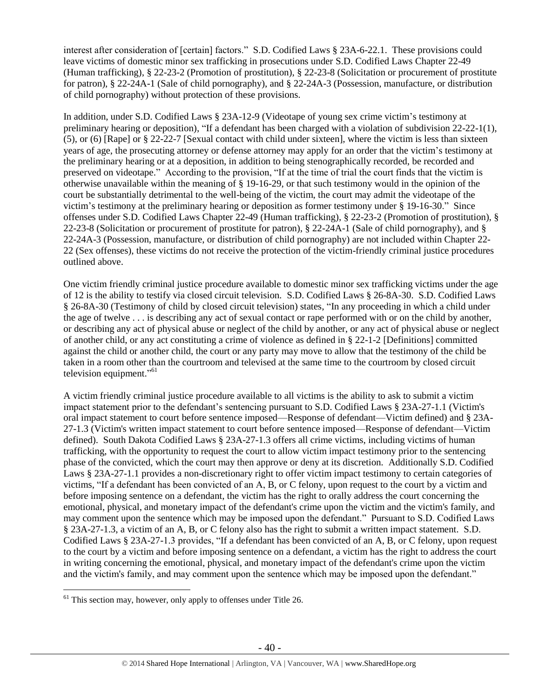interest after consideration of [certain] factors." S.D. Codified Laws § 23A-6-22.1. These provisions could leave victims of domestic minor sex trafficking in prosecutions under S.D. Codified Laws Chapter 22-49 (Human trafficking), § 22-23-2 (Promotion of prostitution), § 22-23-8 (Solicitation or procurement of prostitute for patron), § 22-24A-1 (Sale of child pornography), and § 22-24A-3 (Possession, manufacture, or distribution of child pornography) without protection of these provisions.

In addition, under S.D. Codified Laws § 23A-12-9 (Videotape of young sex crime victim's testimony at preliminary hearing or deposition), "If a defendant has been charged with a violation of subdivision 22-22-1(1), (5), or (6) [Rape] or § 22-22-7 [Sexual contact with child under sixteen], where the victim is less than sixteen years of age, the prosecuting attorney or defense attorney may apply for an order that the victim's testimony at the preliminary hearing or at a deposition, in addition to being stenographically recorded, be recorded and preserved on videotape." According to the provision, "If at the time of trial the court finds that the victim is otherwise unavailable within the meaning of § 19-16-29, or that such testimony would in the opinion of the court be substantially detrimental to the well-being of the victim, the court may admit the videotape of the victim's testimony at the preliminary hearing or deposition as former testimony under § 19-16-30." Since offenses under S.D. Codified Laws Chapter 22-49 (Human trafficking), § 22-23-2 (Promotion of prostitution), § 22-23-8 (Solicitation or procurement of prostitute for patron), § 22-24A-1 (Sale of child pornography), and § 22-24A-3 (Possession, manufacture, or distribution of child pornography) are not included within Chapter 22- 22 (Sex offenses), these victims do not receive the protection of the victim-friendly criminal justice procedures outlined above.

One victim friendly criminal justice procedure available to domestic minor sex trafficking victims under the age of 12 is the ability to testify via closed circuit television. S.D. Codified Laws § 26-8A-30. S.D. Codified Laws § 26-8A-30 (Testimony of child by closed circuit television) states, "In any proceeding in which a child under the age of twelve . . . is describing any act of sexual contact or rape performed with or on the child by another, or describing any act of physical abuse or neglect of the child by another, or any act of physical abuse or neglect of another child, or any act constituting a crime of violence as defined in § 22-1-2 [Definitions] committed against the child or another child, the court or any party may move to allow that the testimony of the child be taken in a room other than the courtroom and televised at the same time to the courtroom by closed circuit television equipment."<sup>61</sup>

A victim friendly criminal justice procedure available to all victims is the ability to ask to submit a victim impact statement prior to the defendant's sentencing pursuant to S.D. Codified Laws § 23A-27-1.1 (Victim's oral impact statement to court before sentence imposed—Response of defendant—Victim defined) and § 23A-27-1.3 (Victim's written impact statement to court before sentence imposed—Response of defendant—Victim defined). South Dakota Codified Laws § 23A-27-1.3 offers all crime victims, including victims of human trafficking, with the opportunity to request the court to allow victim impact testimony prior to the sentencing phase of the convicted, which the court may then approve or deny at its discretion. Additionally S.D. Codified Laws § 23A-27-1.1 provides a non-discretionary right to offer victim impact testimony to certain categories of victims, "If a defendant has been convicted of an A, B, or C felony, upon request to the court by a victim and before imposing sentence on a defendant, the victim has the right to orally address the court concerning the emotional, physical, and monetary impact of the defendant's crime upon the victim and the victim's family, and may comment upon the sentence which may be imposed upon the defendant." Pursuant to S.D. Codified Laws § 23A-27-1.3, a victim of an A, B, or C felony also has the right to submit a written impact statement. S.D. Codified Laws § 23A-27-1.3 provides, "If a defendant has been convicted of an A, B, or C felony, upon request to the court by a victim and before imposing sentence on a defendant, a victim has the right to address the court in writing concerning the emotional, physical, and monetary impact of the defendant's crime upon the victim and the victim's family, and may comment upon the sentence which may be imposed upon the defendant."

 $61$  This section may, however, only apply to offenses under Title 26.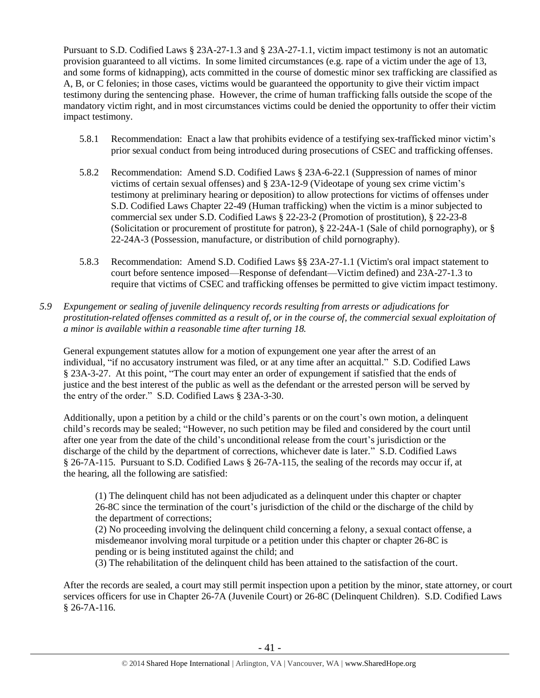Pursuant to S.D. Codified Laws § 23A-27-1.3 and § 23A-27-1.1, victim impact testimony is not an automatic provision guaranteed to all victims. In some limited circumstances (e.g. rape of a victim under the age of 13, and some forms of kidnapping), acts committed in the course of domestic minor sex trafficking are classified as A, B, or C felonies; in those cases, victims would be guaranteed the opportunity to give their victim impact testimony during the sentencing phase. However, the crime of human trafficking falls outside the scope of the mandatory victim right, and in most circumstances victims could be denied the opportunity to offer their victim impact testimony.

- 5.8.1 Recommendation: Enact a law that prohibits evidence of a testifying sex-trafficked minor victim's prior sexual conduct from being introduced during prosecutions of CSEC and trafficking offenses.
- 5.8.2 Recommendation: Amend S.D. Codified Laws § 23A-6-22.1 (Suppression of names of minor victims of certain sexual offenses) and § 23A-12-9 (Videotape of young sex crime victim's testimony at preliminary hearing or deposition) to allow protections for victims of offenses under S.D. Codified Laws Chapter 22-49 (Human trafficking) when the victim is a minor subjected to commercial sex under S.D. Codified Laws § 22-23-2 (Promotion of prostitution), § 22-23-8 (Solicitation or procurement of prostitute for patron), § 22-24A-1 (Sale of child pornography), or § 22-24A-3 (Possession, manufacture, or distribution of child pornography).
- 5.8.3 Recommendation: Amend S.D. Codified Laws §§ 23A-27-1.1 (Victim's oral impact statement to court before sentence imposed—Response of defendant—Victim defined) and 23A-27-1.3 to require that victims of CSEC and trafficking offenses be permitted to give victim impact testimony.
- *5.9 Expungement or sealing of juvenile delinquency records resulting from arrests or adjudications for prostitution-related offenses committed as a result of, or in the course of, the commercial sexual exploitation of a minor is available within a reasonable time after turning 18.*

General expungement statutes allow for a motion of expungement one year after the arrest of an individual, "if no accusatory instrument was filed, or at any time after an acquittal." S.D. Codified Laws § 23A-3-27. At this point, "The court may enter an order of expungement if satisfied that the ends of justice and the best interest of the public as well as the defendant or the arrested person will be served by the entry of the order." S.D. Codified Laws § 23A-3-30.

Additionally, upon a petition by a child or the child's parents or on the court's own motion, a delinquent child's records may be sealed; "However, no such petition may be filed and considered by the court until after one year from the date of the child's unconditional release from the court's jurisdiction or the discharge of the child by the department of corrections, whichever date is later." S.D. Codified Laws § 26-7A-115. Pursuant to S.D. Codified Laws § 26-7A-115, the sealing of the records may occur if, at the hearing, all the following are satisfied:

(1) The delinquent child has not been adjudicated as a delinquent under this chapter or chapter 26-8C since the termination of the court's jurisdiction of the child or the discharge of the child by the department of corrections;

(2) No proceeding involving the delinquent child concerning a felony, a sexual contact offense, a misdemeanor involving moral turpitude or a petition under this chapter or chapter 26-8C is pending or is being instituted against the child; and

(3) The rehabilitation of the delinquent child has been attained to the satisfaction of the court.

After the records are sealed, a court may still permit inspection upon a petition by the minor, state attorney, or court services officers for use in Chapter 26-7A (Juvenile Court) or 26-8C (Delinquent Children). S.D. Codified Laws § 26-7A-116.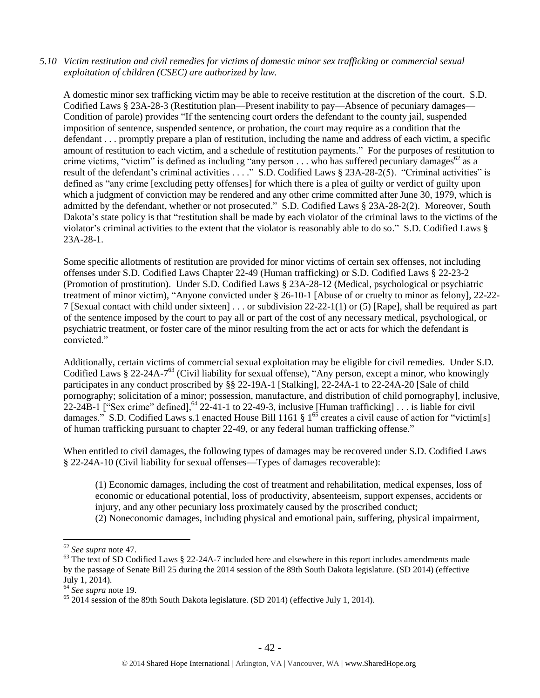#### *5.10 Victim restitution and civil remedies for victims of domestic minor sex trafficking or commercial sexual exploitation of children (CSEC) are authorized by law.*

A domestic minor sex trafficking victim may be able to receive restitution at the discretion of the court. S.D. Codified Laws § 23A-28-3 (Restitution plan—Present inability to pay—Absence of pecuniary damages— Condition of parole) provides "If the sentencing court orders the defendant to the county jail, suspended imposition of sentence, suspended sentence, or probation, the court may require as a condition that the defendant . . . promptly prepare a plan of restitution, including the name and address of each victim, a specific amount of restitution to each victim, and a schedule of restitution payments." For the purposes of restitution to crime victims, "victim" is defined as including "any person  $\dots$  who has suffered pecuniary damages<sup>62</sup> as a result of the defendant's criminal activities . . . ." S.D. Codified Laws § 23A-28-2(5). "Criminal activities" is defined as "any crime [excluding petty offenses] for which there is a plea of guilty or verdict of guilty upon which a judgment of conviction may be rendered and any other crime committed after June 30, 1979, which is admitted by the defendant, whether or not prosecuted." S.D. Codified Laws § 23A-28-2(2). Moreover, South Dakota's state policy is that "restitution shall be made by each violator of the criminal laws to the victims of the violator's criminal activities to the extent that the violator is reasonably able to do so." S.D. Codified Laws § 23A-28-1.

Some specific allotments of restitution are provided for minor victims of certain sex offenses, not including offenses under S.D. Codified Laws Chapter 22-49 (Human trafficking) or S.D. Codified Laws § 22-23-2 (Promotion of prostitution). Under S.D. Codified Laws § 23A-28-12 (Medical, psychological or psychiatric treatment of minor victim), "Anyone convicted under § 26-10-1 [Abuse of or cruelty to minor as felony], 22-22- 7 [Sexual contact with child under sixteen] . . . or subdivision 22-22-1(1) or (5) [Rape], shall be required as part of the sentence imposed by the court to pay all or part of the cost of any necessary medical, psychological, or psychiatric treatment, or foster care of the minor resulting from the act or acts for which the defendant is convicted."

Additionally, certain victims of commercial sexual exploitation may be eligible for civil remedies. Under S.D. Codified Laws § 22-24A-7<sup>63</sup> (Civil liability for sexual offense), "Any person, except a minor, who knowingly participates in any conduct proscribed by §§ 22-19A-1 [Stalking], 22-24A-1 to 22-24A-20 [Sale of child pornography; solicitation of a minor; possession, manufacture, and distribution of child pornography], inclusive, 22-24B-1 ["Sex crime" defined],  $^{64}$  22-41-1 to 22-49-3, inclusive [Human trafficking] . . . is liable for civil damages." S.D. Codified Laws s.1 enacted House Bill 1161 §  $1^{65}$  creates a civil cause of action for "victim[s] of human trafficking pursuant to chapter 22-49, or any federal human trafficking offense."

When entitled to civil damages, the following types of damages may be recovered under S.D. Codified Laws § 22-24A-10 (Civil liability for sexual offenses—Types of damages recoverable):

(1) Economic damages, including the cost of treatment and rehabilitation, medical expenses, loss of economic or educational potential, loss of productivity, absenteeism, support expenses, accidents or injury, and any other pecuniary loss proximately caused by the proscribed conduct; (2) Noneconomic damages, including physical and emotional pain, suffering, physical impairment,

<sup>62</sup> *See supra* note [47.](#page-24-0)

 $63$  The text of SD Codified Laws § 22-24A-7 included here and elsewhere in this report includes amendments made by the passage of Senate Bill 25 during the 2014 session of the 89th South Dakota legislature. (SD 2014) (effective July 1, 2014).

<sup>64</sup> *See supra* note [19.](#page-9-0)

 $65$  2014 session of the 89th South Dakota legislature. (SD 2014) (effective July 1, 2014).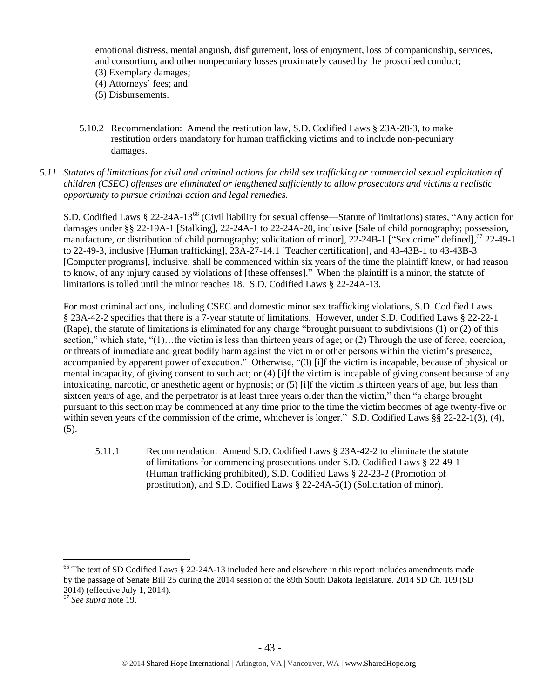emotional distress, mental anguish, disfigurement, loss of enjoyment, loss of companionship, services, and consortium, and other nonpecuniary losses proximately caused by the proscribed conduct;

- (3) Exemplary damages;
- (4) Attorneys' fees; and
- (5) Disbursements.
- 5.10.2 Recommendation: Amend the restitution law, S.D. Codified Laws § 23A-28-3, to make restitution orders mandatory for human trafficking victims and to include non-pecuniary damages.
- *5.11 Statutes of limitations for civil and criminal actions for child sex trafficking or commercial sexual exploitation of children (CSEC) offenses are eliminated or lengthened sufficiently to allow prosecutors and victims a realistic opportunity to pursue criminal action and legal remedies.*

S.D. Codified Laws § 22-24A-13<sup>66</sup> (Civil liability for sexual offense—Statute of limitations) states, "Any action for damages under §§ 22-19A-1 [Stalking], 22-24A-1 to 22-24A-20, inclusive [Sale of child pornography; possession, manufacture, or distribution of child pornography; solicitation of minor], 22-24B-1 ["Sex crime" defined],<sup>67</sup> 22-49-1 to 22-49-3, inclusive [Human trafficking], 23A-27-14.1 [Teacher certification], and 43-43B-1 to 43-43B-3 [Computer programs], inclusive, shall be commenced within six years of the time the plaintiff knew, or had reason to know, of any injury caused by violations of [these offenses]." When the plaintiff is a minor, the statute of limitations is tolled until the minor reaches 18. S.D. Codified Laws § 22-24A-13.

For most criminal actions, including CSEC and domestic minor sex trafficking violations, S.D. Codified Laws § 23A-42-2 specifies that there is a 7-year statute of limitations. However, under S.D. Codified Laws § 22-22-1 (Rape), the statute of limitations is eliminated for any charge "brought pursuant to subdivisions (1) or (2) of this section," which state, " $(1)$ ... the victim is less than thirteen years of age; or  $(2)$  Through the use of force, coercion, or threats of immediate and great bodily harm against the victim or other persons within the victim's presence, accompanied by apparent power of execution." Otherwise, "(3) [i]f the victim is incapable, because of physical or mental incapacity, of giving consent to such act; or (4) [i]f the victim is incapable of giving consent because of any intoxicating, narcotic, or anesthetic agent or hypnosis; or (5) [i]f the victim is thirteen years of age, but less than sixteen years of age, and the perpetrator is at least three years older than the victim," then "a charge brought pursuant to this section may be commenced at any time prior to the time the victim becomes of age twenty-five or within seven years of the commission of the crime, whichever is longer." S.D. Codified Laws §§ 22-22-1(3), (4),  $(5)$ .

5.11.1 Recommendation: Amend S.D. Codified Laws § 23A-42-2 to eliminate the statute of limitations for commencing prosecutions under S.D. Codified Laws § 22-49-1 (Human trafficking prohibited), S.D. Codified Laws § 22-23-2 (Promotion of prostitution), and S.D. Codified Laws § 22-24A-5(1) (Solicitation of minor).

<sup>&</sup>lt;sup>66</sup> The text of SD Codified Laws § 22-24A-13 included here and elsewhere in this report includes amendments made by the passage of Senate Bill 25 during the 2014 session of the 89th South Dakota legislature. 2014 SD Ch. 109 (SD 2014) (effective July 1, 2014).

<sup>67</sup> *See supra* note [19.](#page-9-0)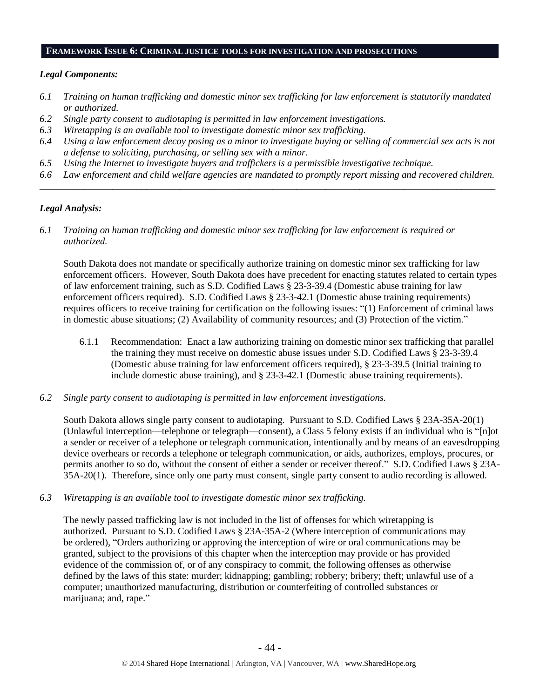#### **FRAMEWORK ISSUE 6: CRIMINAL JUSTICE TOOLS FOR INVESTIGATION AND PROSECUTIONS**

#### *Legal Components:*

- *6.1 Training on human trafficking and domestic minor sex trafficking for law enforcement is statutorily mandated or authorized.*
- *6.2 Single party consent to audiotaping is permitted in law enforcement investigations.*
- *6.3 Wiretapping is an available tool to investigate domestic minor sex trafficking.*
- *6.4 Using a law enforcement decoy posing as a minor to investigate buying or selling of commercial sex acts is not a defense to soliciting, purchasing, or selling sex with a minor.*
- *6.5 Using the Internet to investigate buyers and traffickers is a permissible investigative technique.*
- *6.6 Law enforcement and child welfare agencies are mandated to promptly report missing and recovered children. \_\_\_\_\_\_\_\_\_\_\_\_\_\_\_\_\_\_\_\_\_\_\_\_\_\_\_\_\_\_\_\_\_\_\_\_\_\_\_\_\_\_\_\_\_\_\_\_\_\_\_\_\_\_\_\_\_\_\_\_\_\_\_\_\_\_\_\_\_\_\_\_\_\_\_\_\_\_\_\_\_\_\_\_\_\_\_\_\_\_\_\_\_\_*

#### *Legal Analysis:*

*6.1 Training on human trafficking and domestic minor sex trafficking for law enforcement is required or authorized.*

South Dakota does not mandate or specifically authorize training on domestic minor sex trafficking for law enforcement officers. However, South Dakota does have precedent for enacting statutes related to certain types of law enforcement training, such as S.D. Codified Laws § 23-3-39.4 (Domestic abuse training for law enforcement officers required). S.D. Codified Laws § 23-3-42.1 (Domestic abuse training requirements) requires officers to receive training for certification on the following issues: "(1) Enforcement of criminal laws in domestic abuse situations; (2) Availability of community resources; and (3) Protection of the victim."

- 6.1.1 Recommendation: Enact a law authorizing training on domestic minor sex trafficking that parallel the training they must receive on domestic abuse issues under S.D. Codified Laws § 23-3-39.4 (Domestic abuse training for law enforcement officers required), § 23-3-39.5 (Initial training to include domestic abuse training), and § 23-3-42.1 (Domestic abuse training requirements).
- *6.2 Single party consent to audiotaping is permitted in law enforcement investigations.*

South Dakota allows single party consent to audiotaping. Pursuant to S.D. Codified Laws § 23A-35A-20(1) (Unlawful interception—telephone or telegraph—consent), a Class 5 felony exists if an individual who is "[n]ot a sender or receiver of a telephone or telegraph communication, intentionally and by means of an eavesdropping device overhears or records a telephone or telegraph communication, or aids, authorizes, employs, procures, or permits another to so do, without the consent of either a sender or receiver thereof." S.D. Codified Laws § 23A-35A-20(1). Therefore, since only one party must consent, single party consent to audio recording is allowed.

*6.3 Wiretapping is an available tool to investigate domestic minor sex trafficking.* 

The newly passed trafficking law is not included in the list of offenses for which wiretapping is authorized. Pursuant to S.D. Codified Laws § 23A-35A-2 (Where interception of communications may be ordered), "Orders authorizing or approving the interception of wire or oral communications may be granted, subject to the provisions of this chapter when the interception may provide or has provided evidence of the commission of, or of any conspiracy to commit, the following offenses as otherwise defined by the laws of this state: murder; kidnapping; gambling; robbery; bribery; theft; unlawful use of a computer; unauthorized manufacturing, distribution or counterfeiting of controlled substances or marijuana; and, rape."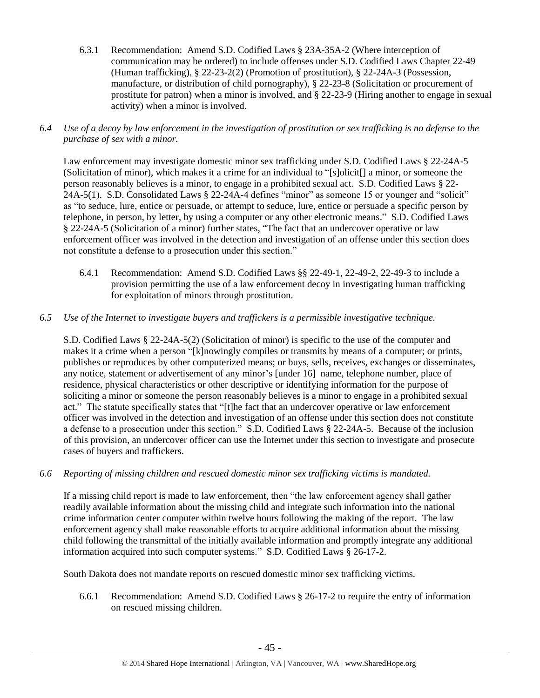- 6.3.1 Recommendation: Amend S.D. Codified Laws § 23A-35A-2 (Where interception of communication may be ordered) to include offenses under S.D. Codified Laws Chapter 22-49 (Human trafficking), § 22-23-2(2) (Promotion of prostitution), § 22-24A-3 (Possession, manufacture, or distribution of child pornography), § 22-23-8 (Solicitation or procurement of prostitute for patron) when a minor is involved, and § 22-23-9 (Hiring another to engage in sexual activity) when a minor is involved.
- *6.4 Use of a decoy by law enforcement in the investigation of prostitution or sex trafficking is no defense to the purchase of sex with a minor.*

Law enforcement may investigate domestic minor sex trafficking under S.D. Codified Laws § 22-24A-5 (Solicitation of minor), which makes it a crime for an individual to "[s]olicit[] a minor, or someone the person reasonably believes is a minor, to engage in a prohibited sexual act. S.D. Codified Laws § 22- 24A-5(1). S.D. Consolidated Laws § 22-24A-4 defines "minor" as someone 15 or younger and "solicit" as "to seduce, lure, entice or persuade, or attempt to seduce, lure, entice or persuade a specific person by telephone, in person, by letter, by using a computer or any other electronic means." S.D. Codified Laws § 22-24A-5 (Solicitation of a minor) further states, "The fact that an undercover operative or law enforcement officer was involved in the detection and investigation of an offense under this section does not constitute a defense to a prosecution under this section."

- 6.4.1 Recommendation: Amend S.D. Codified Laws §§ 22-49-1, 22-49-2, 22-49-3 to include a provision permitting the use of a law enforcement decoy in investigating human trafficking for exploitation of minors through prostitution.
- *6.5 Use of the Internet to investigate buyers and traffickers is a permissible investigative technique.*

S.D. Codified Laws § 22-24A-5(2) (Solicitation of minor) is specific to the use of the computer and makes it a crime when a person "[k]nowingly compiles or transmits by means of a computer; or prints, publishes or reproduces by other computerized means; or buys, sells, receives, exchanges or disseminates, any notice, statement or advertisement of any minor's [under 16] name, telephone number, place of residence, physical characteristics or other descriptive or identifying information for the purpose of soliciting a minor or someone the person reasonably believes is a minor to engage in a prohibited sexual act." The statute specifically states that "[t]he fact that an undercover operative or law enforcement officer was involved in the detection and investigation of an offense under this section does not constitute a defense to a prosecution under this section." S.D. Codified Laws § 22-24A-5. Because of the inclusion of this provision, an undercover officer can use the Internet under this section to investigate and prosecute cases of buyers and traffickers.

*6.6 Reporting of missing children and rescued domestic minor sex trafficking victims is mandated.*

If a missing child report is made to law enforcement, then "the law enforcement agency shall gather readily available information about the missing child and integrate such information into the national crime information center computer within twelve hours following the making of the report. The law enforcement agency shall make reasonable efforts to acquire additional information about the missing child following the transmittal of the initially available information and promptly integrate any additional information acquired into such computer systems." S.D. Codified Laws § 26-17-2.

South Dakota does not mandate reports on rescued domestic minor sex trafficking victims.

6.6.1 Recommendation: Amend S.D. Codified Laws § 26-17-2 to require the entry of information on rescued missing children.